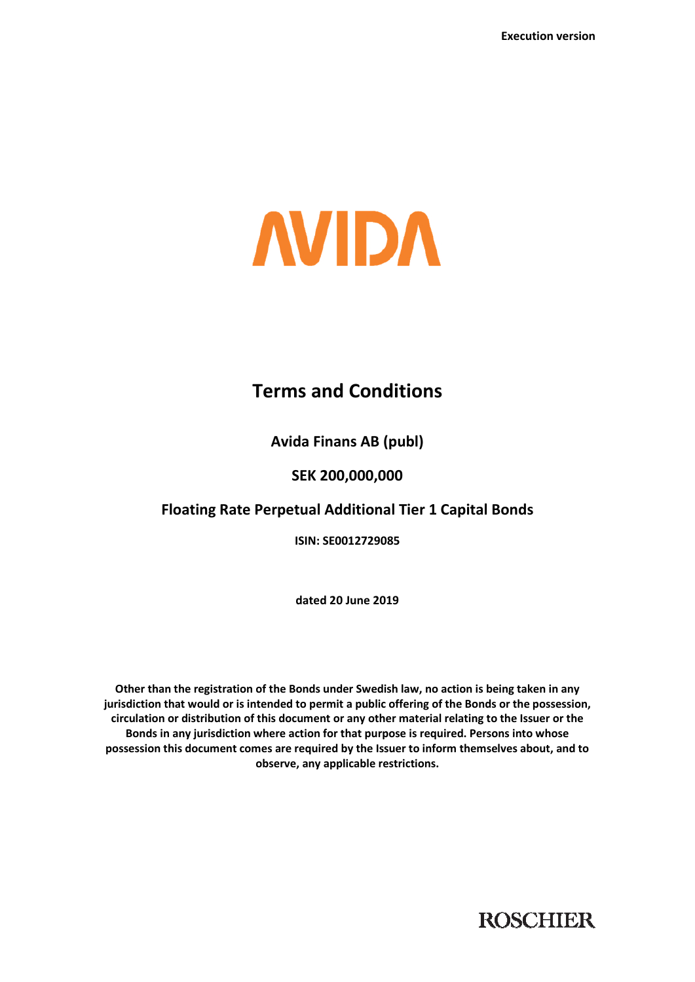

# **Terms and Conditions**

**Avida Finans AB (publ)** 

# **SEK 200,000,000**

# **Floating Rate Perpetual Additional Tier 1 Capital Bonds**

**ISIN: SE0012729085** 

**dated 20 June 2019** 

**Other than the registration of the Bonds under Swedish law, no action is being taken in any jurisdiction that would or is intended to permit a public offering of the Bonds or the possession, circulation or distribution of this document or any other material relating to the Issuer or the Bonds in any jurisdiction where action for that purpose is required. Persons into whose possession this document comes are required by the Issuer to inform themselves about, and to observe, any applicable restrictions.**

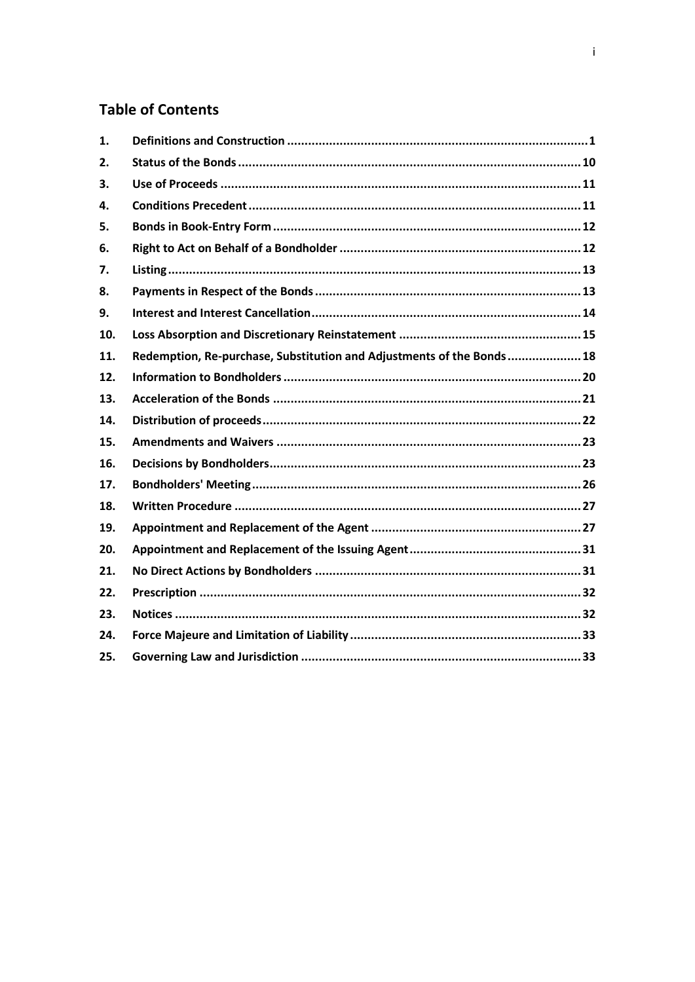# **Table of Contents**

| 1.  |                                                                       |  |
|-----|-----------------------------------------------------------------------|--|
| 2.  |                                                                       |  |
| 3.  |                                                                       |  |
| 4.  |                                                                       |  |
| 5.  |                                                                       |  |
| 6.  |                                                                       |  |
| 7.  |                                                                       |  |
| 8.  |                                                                       |  |
| 9.  |                                                                       |  |
| 10. |                                                                       |  |
| 11. | Redemption, Re-purchase, Substitution and Adjustments of the Bonds 18 |  |
| 12. |                                                                       |  |
| 13. |                                                                       |  |
| 14. |                                                                       |  |
| 15. |                                                                       |  |
| 16. |                                                                       |  |
| 17. |                                                                       |  |
| 18. |                                                                       |  |
| 19. |                                                                       |  |
| 20. |                                                                       |  |
| 21. |                                                                       |  |
| 22. |                                                                       |  |
| 23. |                                                                       |  |
| 24. |                                                                       |  |
| 25. |                                                                       |  |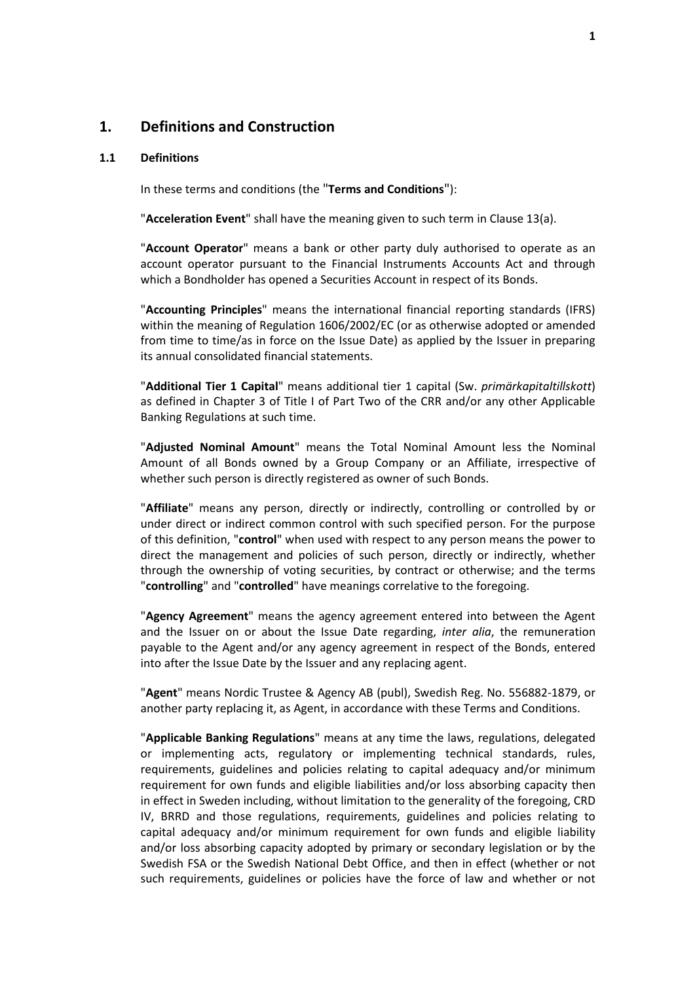### **1. Definitions and Construction**

#### **1.1 Definitions**

In these terms and conditions (the "**Terms and Conditions**"):

"**Acceleration Event**" shall have the meaning given to such term in Clause 13(a).

"**Account Operator**" means a bank or other party duly authorised to operate as an account operator pursuant to the Financial Instruments Accounts Act and through which a Bondholder has opened a Securities Account in respect of its Bonds.

"**Accounting Principles**" means the international financial reporting standards (IFRS) within the meaning of Regulation 1606/2002/EC (or as otherwise adopted or amended from time to time/as in force on the Issue Date) as applied by the Issuer in preparing its annual consolidated financial statements.

"**Additional Tier 1 Capital**" means additional tier 1 capital (Sw. *primärkapitaltillskott*) as defined in Chapter 3 of Title I of Part Two of the CRR and/or any other Applicable Banking Regulations at such time.

"**Adjusted Nominal Amount**" means the Total Nominal Amount less the Nominal Amount of all Bonds owned by a Group Company or an Affiliate, irrespective of whether such person is directly registered as owner of such Bonds.

"**Affiliate**" means any person, directly or indirectly, controlling or controlled by or under direct or indirect common control with such specified person. For the purpose of this definition, "**control**" when used with respect to any person means the power to direct the management and policies of such person, directly or indirectly, whether through the ownership of voting securities, by contract or otherwise; and the terms "**controlling**" and "**controlled**" have meanings correlative to the foregoing.

"**Agency Agreement**" means the agency agreement entered into between the Agent and the Issuer on or about the Issue Date regarding, *inter alia*, the remuneration payable to the Agent and/or any agency agreement in respect of the Bonds, entered into after the Issue Date by the Issuer and any replacing agent.

"**Agent**" means Nordic Trustee & Agency AB (publ), Swedish Reg. No. 556882-1879, or another party replacing it, as Agent, in accordance with these Terms and Conditions.

"**Applicable Banking Regulations**" means at any time the laws, regulations, delegated or implementing acts, regulatory or implementing technical standards, rules, requirements, guidelines and policies relating to capital adequacy and/or minimum requirement for own funds and eligible liabilities and/or loss absorbing capacity then in effect in Sweden including, without limitation to the generality of the foregoing, CRD IV, BRRD and those regulations, requirements, guidelines and policies relating to capital adequacy and/or minimum requirement for own funds and eligible liability and/or loss absorbing capacity adopted by primary or secondary legislation or by the Swedish FSA or the Swedish National Debt Office, and then in effect (whether or not such requirements, guidelines or policies have the force of law and whether or not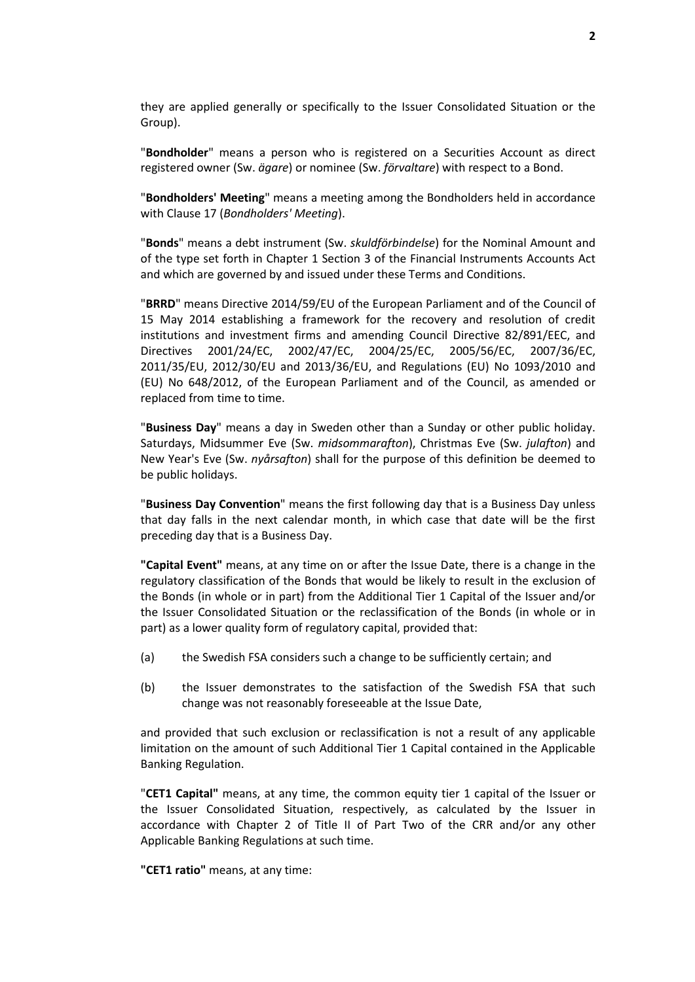they are applied generally or specifically to the Issuer Consolidated Situation or the Group).

"**Bondholder**" means a person who is registered on a Securities Account as direct registered owner (Sw. *ägare*) or nominee (Sw. *förvaltare*) with respect to a Bond.

"**Bondholders' Meeting**" means a meeting among the Bondholders held in accordance with Clause 17 (*Bondholders' Meeting*).

"**Bonds**" means a debt instrument (Sw. *skuldförbindelse*) for the Nominal Amount and of the type set forth in Chapter 1 Section 3 of the Financial Instruments Accounts Act and which are governed by and issued under these Terms and Conditions.

"**BRRD**" means Directive 2014/59/EU of the European Parliament and of the Council of 15 May 2014 establishing a framework for the recovery and resolution of credit institutions and investment firms and amending Council Directive 82/891/EEC, and Directives 2001/24/EC, 2002/47/EC, 2004/25/EC, 2005/56/EC, 2007/36/EC, 2011/35/EU, 2012/30/EU and 2013/36/EU, and Regulations (EU) No 1093/2010 and (EU) No 648/2012, of the European Parliament and of the Council, as amended or replaced from time to time.

"**Business Day**" means a day in Sweden other than a Sunday or other public holiday. Saturdays, Midsummer Eve (Sw. *midsommarafton*), Christmas Eve (Sw. *julafton*) and New Year's Eve (Sw. *nyårsafton*) shall for the purpose of this definition be deemed to be public holidays.

"**Business Day Convention**" means the first following day that is a Business Day unless that day falls in the next calendar month, in which case that date will be the first preceding day that is a Business Day.

**"Capital Event"** means, at any time on or after the Issue Date, there is a change in the regulatory classification of the Bonds that would be likely to result in the exclusion of the Bonds (in whole or in part) from the Additional Tier 1 Capital of the Issuer and/or the Issuer Consolidated Situation or the reclassification of the Bonds (in whole or in part) as a lower quality form of regulatory capital, provided that:

- (a) the Swedish FSA considers such a change to be sufficiently certain; and
- (b) the Issuer demonstrates to the satisfaction of the Swedish FSA that such change was not reasonably foreseeable at the Issue Date,

and provided that such exclusion or reclassification is not a result of any applicable limitation on the amount of such Additional Tier 1 Capital contained in the Applicable Banking Regulation.

"**CET1 Capital"** means, at any time, the common equity tier 1 capital of the Issuer or the Issuer Consolidated Situation, respectively, as calculated by the Issuer in accordance with Chapter 2 of Title II of Part Two of the CRR and/or any other Applicable Banking Regulations at such time.

**"CET1 ratio"** means, at any time: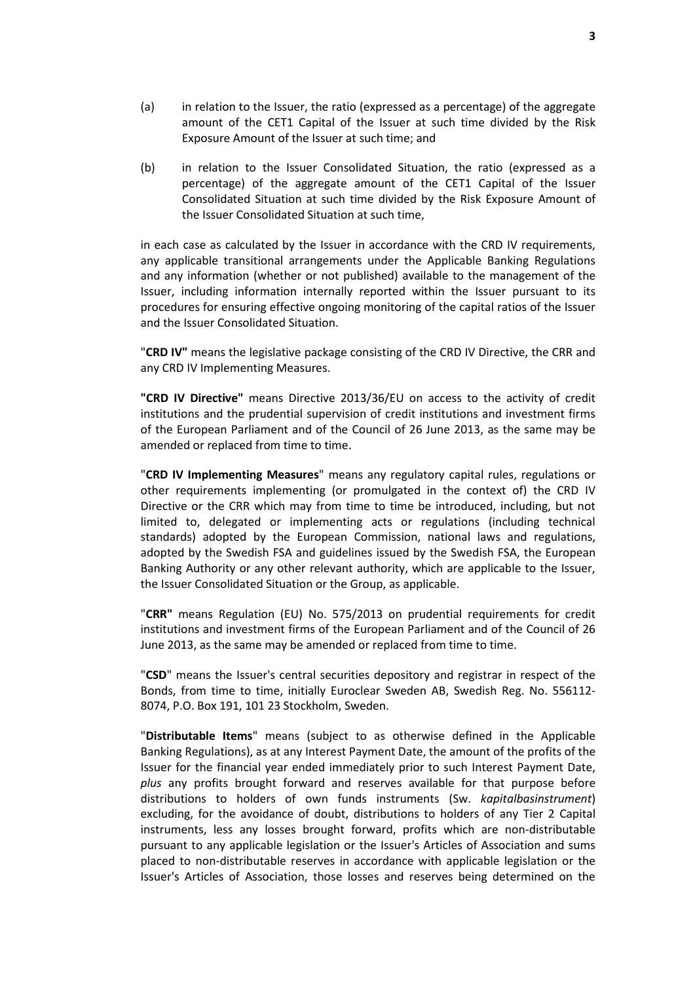- (a) in relation to the Issuer, the ratio (expressed as a percentage) of the aggregate amount of the CET1 Capital of the Issuer at such time divided by the Risk Exposure Amount of the Issuer at such time; and
- (b) in relation to the Issuer Consolidated Situation, the ratio (expressed as a percentage) of the aggregate amount of the CET1 Capital of the Issuer Consolidated Situation at such time divided by the Risk Exposure Amount of the Issuer Consolidated Situation at such time,

in each case as calculated by the Issuer in accordance with the CRD IV requirements, any applicable transitional arrangements under the Applicable Banking Regulations and any information (whether or not published) available to the management of the Issuer, including information internally reported within the Issuer pursuant to its procedures for ensuring effective ongoing monitoring of the capital ratios of the Issuer and the Issuer Consolidated Situation.

"**CRD IV"** means the legislative package consisting of the CRD IV Directive, the CRR and any CRD IV Implementing Measures.

**"CRD IV Directive"** means Directive 2013/36/EU on access to the activity of credit institutions and the prudential supervision of credit institutions and investment firms of the European Parliament and of the Council of 26 June 2013, as the same may be amended or replaced from time to time.

"**CRD IV Implementing Measures**" means any regulatory capital rules, regulations or other requirements implementing (or promulgated in the context of) the CRD IV Directive or the CRR which may from time to time be introduced, including, but not limited to, delegated or implementing acts or regulations (including technical standards) adopted by the European Commission, national laws and regulations, adopted by the Swedish FSA and guidelines issued by the Swedish FSA, the European Banking Authority or any other relevant authority, which are applicable to the Issuer, the Issuer Consolidated Situation or the Group, as applicable.

"**CRR"** means Regulation (EU) No. 575/2013 on prudential requirements for credit institutions and investment firms of the European Parliament and of the Council of 26 June 2013, as the same may be amended or replaced from time to time.

"**CSD**" means the Issuer's central securities depository and registrar in respect of the Bonds, from time to time, initially Euroclear Sweden AB, Swedish Reg. No. 556112- 8074, P.O. Box 191, 101 23 Stockholm, Sweden.

"**Distributable Items**" means (subject to as otherwise defined in the Applicable Banking Regulations), as at any Interest Payment Date, the amount of the profits of the Issuer for the financial year ended immediately prior to such Interest Payment Date, *plus* any profits brought forward and reserves available for that purpose before distributions to holders of own funds instruments (Sw. *kapitalbasinstrument*) excluding, for the avoidance of doubt, distributions to holders of any Tier 2 Capital instruments, less any losses brought forward, profits which are non-distributable pursuant to any applicable legislation or the Issuer's Articles of Association and sums placed to non-distributable reserves in accordance with applicable legislation or the Issuer's Articles of Association, those losses and reserves being determined on the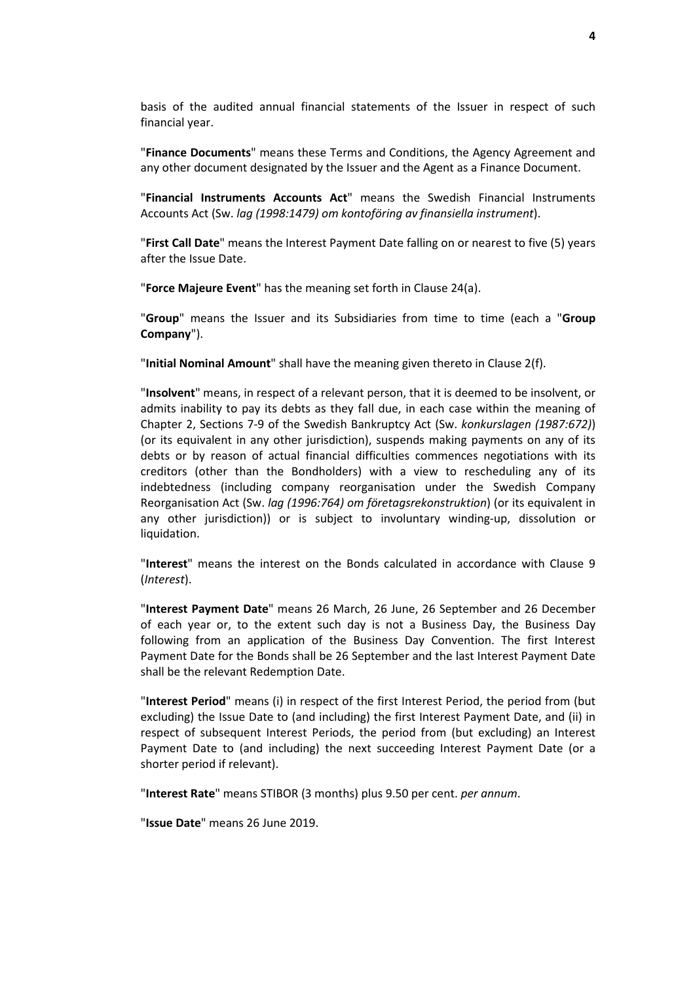basis of the audited annual financial statements of the Issuer in respect of such financial year.

"**Finance Documents**" means these Terms and Conditions, the Agency Agreement and any other document designated by the Issuer and the Agent as a Finance Document.

"**Financial Instruments Accounts Act**" means the Swedish Financial Instruments Accounts Act (Sw. *lag (1998:1479) om kontoföring av finansiella instrument*).

"**First Call Date**" means the Interest Payment Date falling on or nearest to five (5) years after the Issue Date.

"**Force Majeure Event**" has the meaning set forth in Clause 24(a).

"**Group**" means the Issuer and its Subsidiaries from time to time (each a "**Group Company**").

"**Initial Nominal Amount**" shall have the meaning given thereto in Clause 2(f).

"**Insolvent**" means, in respect of a relevant person, that it is deemed to be insolvent, or admits inability to pay its debts as they fall due, in each case within the meaning of Chapter 2, Sections 7-9 of the Swedish Bankruptcy Act (Sw. *konkurslagen (1987:672)*) (or its equivalent in any other jurisdiction), suspends making payments on any of its debts or by reason of actual financial difficulties commences negotiations with its creditors (other than the Bondholders) with a view to rescheduling any of its indebtedness (including company reorganisation under the Swedish Company Reorganisation Act (Sw. *lag (1996:764) om företagsrekonstruktion*) (or its equivalent in any other jurisdiction)) or is subject to involuntary winding-up, dissolution or liquidation.

"**Interest**" means the interest on the Bonds calculated in accordance with Clause 9 (*Interest*).

"**Interest Payment Date**" means 26 March, 26 June, 26 September and 26 December of each year or, to the extent such day is not a Business Day, the Business Day following from an application of the Business Day Convention. The first Interest Payment Date for the Bonds shall be 26 September and the last Interest Payment Date shall be the relevant Redemption Date.

"**Interest Period**" means (i) in respect of the first Interest Period, the period from (but excluding) the Issue Date to (and including) the first Interest Payment Date, and (ii) in respect of subsequent Interest Periods, the period from (but excluding) an Interest Payment Date to (and including) the next succeeding Interest Payment Date (or a shorter period if relevant).

"**Interest Rate**" means STIBOR (3 months) plus 9.50 per cent. *per annum*.

"**Issue Date**" means 26 June 2019.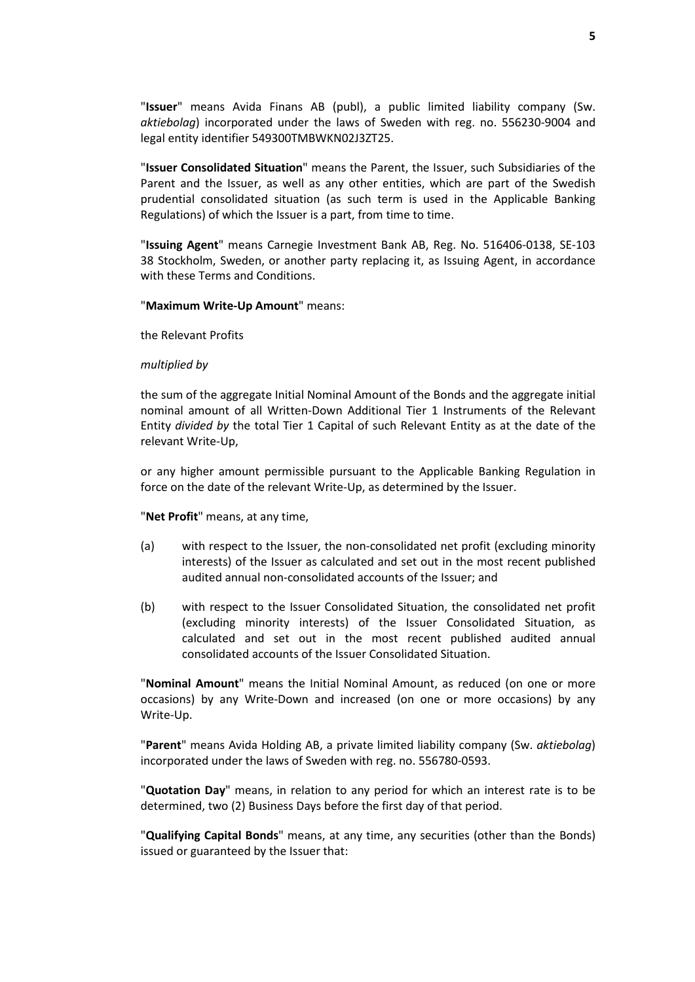"**Issuer**" means Avida Finans AB (publ), a public limited liability company (Sw. *aktiebolag*) incorporated under the laws of Sweden with reg. no. 556230-9004 and legal entity identifier 549300TMBWKN02J3ZT25.

"**Issuer Consolidated Situation**" means the Parent, the Issuer, such Subsidiaries of the Parent and the Issuer, as well as any other entities, which are part of the Swedish prudential consolidated situation (as such term is used in the Applicable Banking Regulations) of which the Issuer is a part, from time to time.

"**Issuing Agent**" means Carnegie Investment Bank AB, Reg. No. 516406-0138, SE-103 38 Stockholm, Sweden, or another party replacing it, as Issuing Agent, in accordance with these Terms and Conditions.

#### "**Maximum Write-Up Amount**" means:

the Relevant Profits

#### *multiplied by*

the sum of the aggregate Initial Nominal Amount of the Bonds and the aggregate initial nominal amount of all Written-Down Additional Tier 1 Instruments of the Relevant Entity *divided by* the total Tier 1 Capital of such Relevant Entity as at the date of the relevant Write-Up,

or any higher amount permissible pursuant to the Applicable Banking Regulation in force on the date of the relevant Write-Up, as determined by the Issuer.

"**Net Profit**" means, at any time,

- (a) with respect to the Issuer, the non-consolidated net profit (excluding minority interests) of the Issuer as calculated and set out in the most recent published audited annual non-consolidated accounts of the Issuer; and
- (b) with respect to the Issuer Consolidated Situation, the consolidated net profit (excluding minority interests) of the Issuer Consolidated Situation, as calculated and set out in the most recent published audited annual consolidated accounts of the Issuer Consolidated Situation.

"**Nominal Amount**" means the Initial Nominal Amount, as reduced (on one or more occasions) by any Write-Down and increased (on one or more occasions) by any Write-Up.

"**Parent**" means Avida Holding AB, a private limited liability company (Sw. *aktiebolag*) incorporated under the laws of Sweden with reg. no. 556780-0593.

"**Quotation Day**" means, in relation to any period for which an interest rate is to be determined, two (2) Business Days before the first day of that period.

"**Qualifying Capital Bonds**" means, at any time, any securities (other than the Bonds) issued or guaranteed by the Issuer that: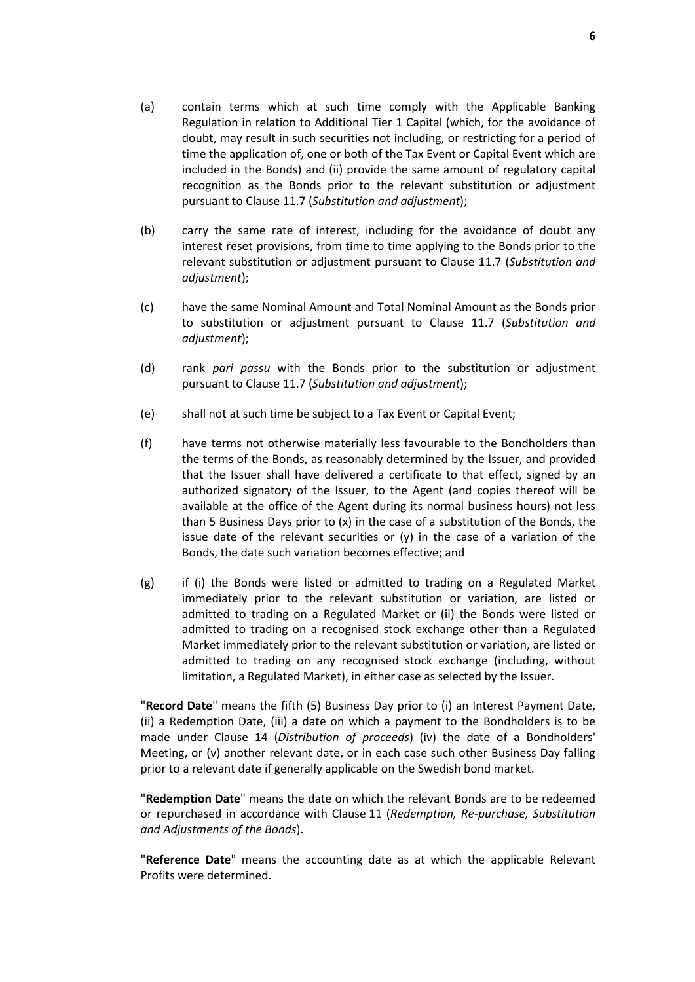- (a) contain terms which at such time comply with the Applicable Banking Regulation in relation to Additional Tier 1 Capital (which, for the avoidance of doubt, may result in such securities not including, or restricting for a period of time the application of, one or both of the Tax Event or Capital Event which are included in the Bonds) and (ii) provide the same amount of regulatory capital recognition as the Bonds prior to the relevant substitution or adjustment pursuant to Clause 11.7 (*Substitution and adjustment*);
- (b) carry the same rate of interest, including for the avoidance of doubt any interest reset provisions, from time to time applying to the Bonds prior to the relevant substitution or adjustment pursuant to Clause 11.7 (*Substitution and adjustment*);
- (c) have the same Nominal Amount and Total Nominal Amount as the Bonds prior to substitution or adjustment pursuant to Clause 11.7 (*Substitution and adjustment*);
- (d) rank *pari passu* with the Bonds prior to the substitution or adjustment pursuant to Clause 11.7 (*Substitution and adjustment*);
- (e) shall not at such time be subject to a Tax Event or Capital Event;
- (f) have terms not otherwise materially less favourable to the Bondholders than the terms of the Bonds, as reasonably determined by the Issuer, and provided that the Issuer shall have delivered a certificate to that effect, signed by an authorized signatory of the Issuer, to the Agent (and copies thereof will be available at the office of the Agent during its normal business hours) not less than 5 Business Days prior to (x) in the case of a substitution of the Bonds, the issue date of the relevant securities or  $(y)$  in the case of a variation of the Bonds, the date such variation becomes effective; and
- (g) if (i) the Bonds were listed or admitted to trading on a Regulated Market immediately prior to the relevant substitution or variation, are listed or admitted to trading on a Regulated Market or (ii) the Bonds were listed or admitted to trading on a recognised stock exchange other than a Regulated Market immediately prior to the relevant substitution or variation, are listed or admitted to trading on any recognised stock exchange (including, without limitation, a Regulated Market), in either case as selected by the Issuer.

"**Record Date**" means the fifth (5) Business Day prior to (i) an Interest Payment Date, (ii) a Redemption Date, (iii) a date on which a payment to the Bondholders is to be made under Clause 14 (*Distribution of proceeds*) (iv) the date of a Bondholders' Meeting, or (v) another relevant date, or in each case such other Business Day falling prior to a relevant date if generally applicable on the Swedish bond market.

"**Redemption Date**" means the date on which the relevant Bonds are to be redeemed or repurchased in accordance with Clause 11 (*Redemption, Re-purchase, Substitution and Adjustments of the Bonds*).

"**Reference Date**" means the accounting date as at which the applicable Relevant Profits were determined.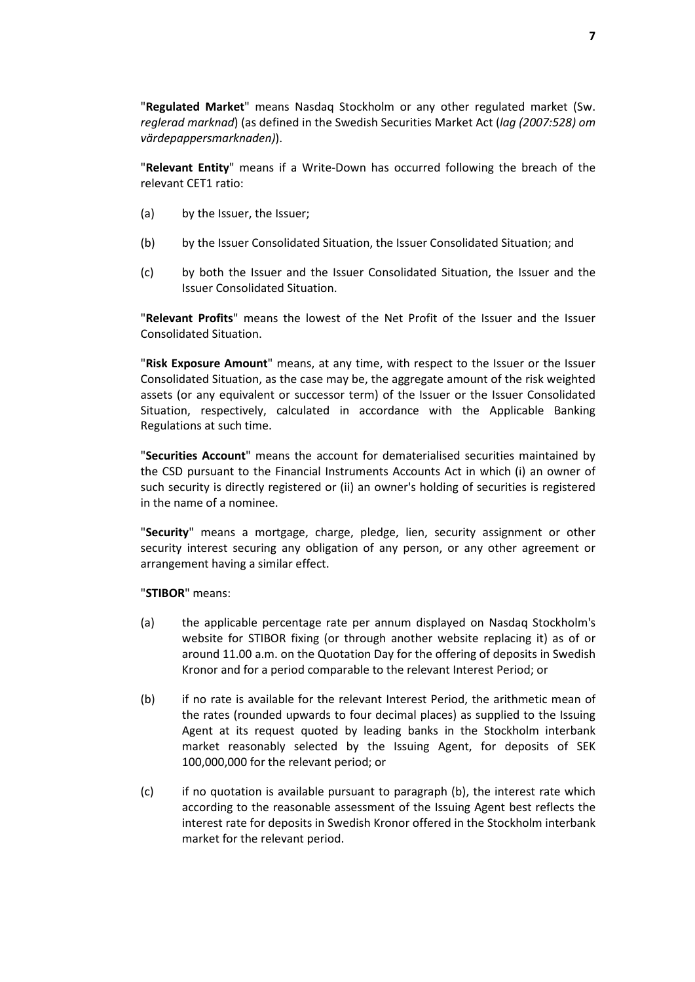"**Regulated Market**" means Nasdaq Stockholm or any other regulated market (Sw. *reglerad marknad*) (as defined in the Swedish Securities Market Act (*lag (2007:528) om värdepappersmarknaden)*).

"**Relevant Entity**" means if a Write-Down has occurred following the breach of the relevant CET1 ratio:

- (a) by the Issuer, the Issuer;
- (b) by the Issuer Consolidated Situation, the Issuer Consolidated Situation; and
- (c) by both the Issuer and the Issuer Consolidated Situation, the Issuer and the Issuer Consolidated Situation.

"**Relevant Profits**" means the lowest of the Net Profit of the Issuer and the Issuer Consolidated Situation.

"**Risk Exposure Amount**" means, at any time, with respect to the Issuer or the Issuer Consolidated Situation, as the case may be, the aggregate amount of the risk weighted assets (or any equivalent or successor term) of the Issuer or the Issuer Consolidated Situation, respectively, calculated in accordance with the Applicable Banking Regulations at such time.

"**Securities Account**" means the account for dematerialised securities maintained by the CSD pursuant to the Financial Instruments Accounts Act in which (i) an owner of such security is directly registered or (ii) an owner's holding of securities is registered in the name of a nominee.

"**Security**" means a mortgage, charge, pledge, lien, security assignment or other security interest securing any obligation of any person, or any other agreement or arrangement having a similar effect.

"**STIBOR**" means:

- (a) the applicable percentage rate per annum displayed on Nasdaq Stockholm's website for STIBOR fixing (or through another website replacing it) as of or around 11.00 a.m. on the Quotation Day for the offering of deposits in Swedish Kronor and for a period comparable to the relevant Interest Period; or
- (b) if no rate is available for the relevant Interest Period, the arithmetic mean of the rates (rounded upwards to four decimal places) as supplied to the Issuing Agent at its request quoted by leading banks in the Stockholm interbank market reasonably selected by the Issuing Agent, for deposits of SEK 100,000,000 for the relevant period; or
- (c) if no quotation is available pursuant to paragraph (b), the interest rate which according to the reasonable assessment of the Issuing Agent best reflects the interest rate for deposits in Swedish Kronor offered in the Stockholm interbank market for the relevant period.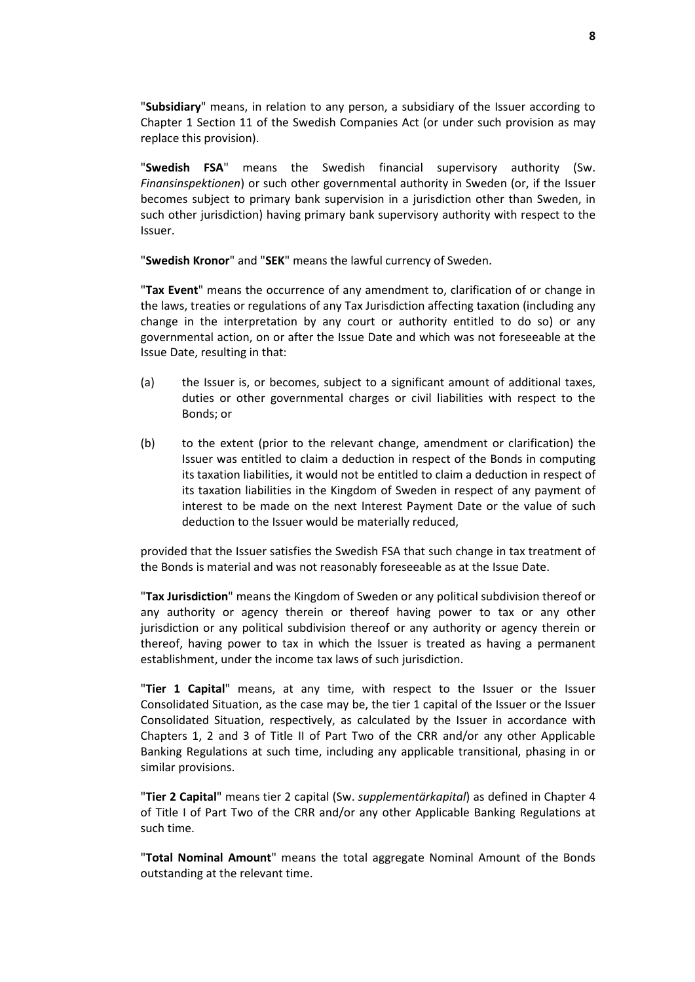"**Subsidiary**" means, in relation to any person, a subsidiary of the Issuer according to Chapter 1 Section 11 of the Swedish Companies Act (or under such provision as may replace this provision).

"**Swedish FSA**" means the Swedish financial supervisory authority (Sw. *Finansinspektionen*) or such other governmental authority in Sweden (or, if the Issuer becomes subject to primary bank supervision in a jurisdiction other than Sweden, in such other jurisdiction) having primary bank supervisory authority with respect to the Issuer.

"**Swedish Kronor**" and "**SEK**" means the lawful currency of Sweden.

"**Tax Event**" means the occurrence of any amendment to, clarification of or change in the laws, treaties or regulations of any Tax Jurisdiction affecting taxation (including any change in the interpretation by any court or authority entitled to do so) or any governmental action, on or after the Issue Date and which was not foreseeable at the Issue Date, resulting in that:

- (a) the Issuer is, or becomes, subject to a significant amount of additional taxes, duties or other governmental charges or civil liabilities with respect to the Bonds; or
- (b) to the extent (prior to the relevant change, amendment or clarification) the Issuer was entitled to claim a deduction in respect of the Bonds in computing its taxation liabilities, it would not be entitled to claim a deduction in respect of its taxation liabilities in the Kingdom of Sweden in respect of any payment of interest to be made on the next Interest Payment Date or the value of such deduction to the Issuer would be materially reduced,

provided that the Issuer satisfies the Swedish FSA that such change in tax treatment of the Bonds is material and was not reasonably foreseeable as at the Issue Date.

"**Tax Jurisdiction**" means the Kingdom of Sweden or any political subdivision thereof or any authority or agency therein or thereof having power to tax or any other jurisdiction or any political subdivision thereof or any authority or agency therein or thereof, having power to tax in which the Issuer is treated as having a permanent establishment, under the income tax laws of such jurisdiction.

"**Tier 1 Capital**" means, at any time, with respect to the Issuer or the Issuer Consolidated Situation, as the case may be, the tier 1 capital of the Issuer or the Issuer Consolidated Situation, respectively, as calculated by the Issuer in accordance with Chapters 1, 2 and 3 of Title II of Part Two of the CRR and/or any other Applicable Banking Regulations at such time, including any applicable transitional, phasing in or similar provisions.

"**Tier 2 Capital**" means tier 2 capital (Sw. *supplementärkapital*) as defined in Chapter 4 of Title I of Part Two of the CRR and/or any other Applicable Banking Regulations at such time.

"**Total Nominal Amount**" means the total aggregate Nominal Amount of the Bonds outstanding at the relevant time.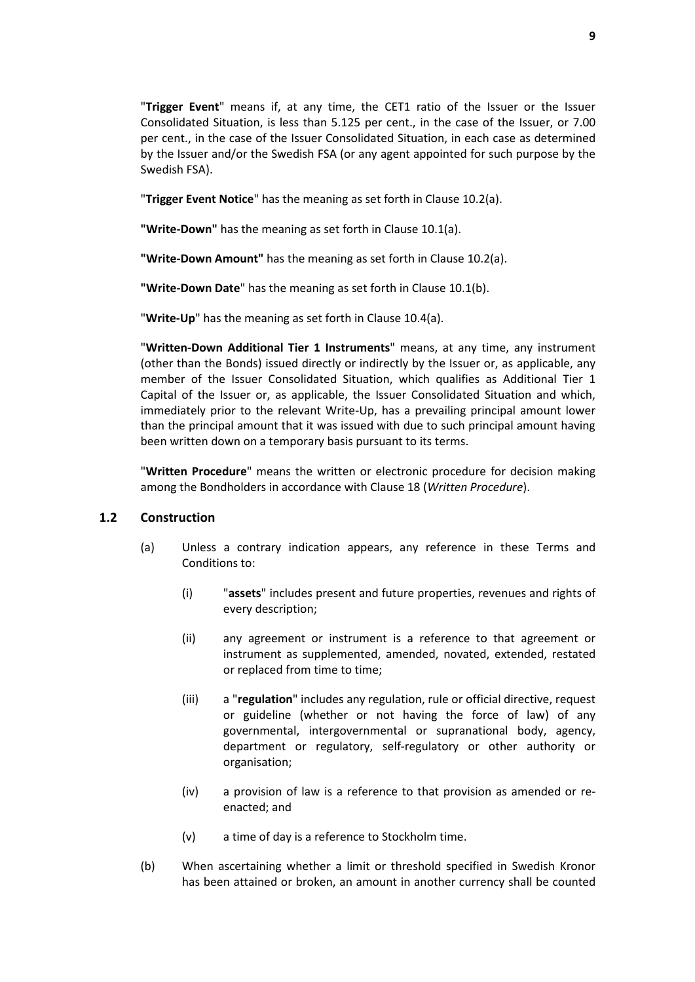"**Trigger Event**" means if, at any time, the CET1 ratio of the Issuer or the Issuer Consolidated Situation, is less than 5.125 per cent., in the case of the Issuer, or 7.00 per cent., in the case of the Issuer Consolidated Situation, in each case as determined by the Issuer and/or the Swedish FSA (or any agent appointed for such purpose by the Swedish FSA).

"**Trigger Event Notice**" has the meaning as set forth in Clause 10.2(a).

**"Write-Down"** has the meaning as set forth in Clause 10.1(a).

**"Write-Down Amount"** has the meaning as set forth in Clause 10.2(a).

**"Write-Down Date**" has the meaning as set forth in Clause 10.1(b).

"**Write-Up**" has the meaning as set forth in Clause 10.4(a).

"**Written-Down Additional Tier 1 Instruments**" means, at any time, any instrument (other than the Bonds) issued directly or indirectly by the Issuer or, as applicable, any member of the Issuer Consolidated Situation, which qualifies as Additional Tier 1 Capital of the Issuer or, as applicable, the Issuer Consolidated Situation and which, immediately prior to the relevant Write-Up, has a prevailing principal amount lower than the principal amount that it was issued with due to such principal amount having been written down on a temporary basis pursuant to its terms.

"**Written Procedure**" means the written or electronic procedure for decision making among the Bondholders in accordance with Clause 18 (*Written Procedure*).

### **1.2 Construction**

- (a) Unless a contrary indication appears, any reference in these Terms and Conditions to:
	- (i) "**assets**" includes present and future properties, revenues and rights of every description;
	- (ii) any agreement or instrument is a reference to that agreement or instrument as supplemented, amended, novated, extended, restated or replaced from time to time;
	- (iii) a "**regulation**" includes any regulation, rule or official directive, request or guideline (whether or not having the force of law) of any governmental, intergovernmental or supranational body, agency, department or regulatory, self-regulatory or other authority or organisation;
	- (iv) a provision of law is a reference to that provision as amended or reenacted; and
	- (v) a time of day is a reference to Stockholm time.
- (b) When ascertaining whether a limit or threshold specified in Swedish Kronor has been attained or broken, an amount in another currency shall be counted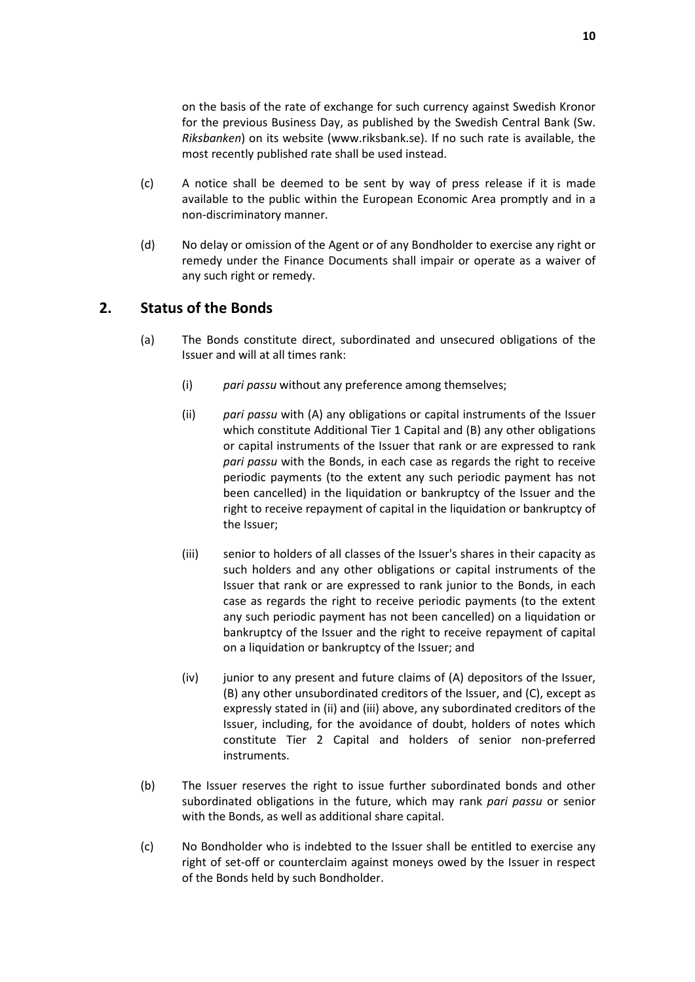on the basis of the rate of exchange for such currency against Swedish Kronor for the previous Business Day, as published by the Swedish Central Bank (Sw. *Riksbanken*) on its website (www.riksbank.se). If no such rate is available, the most recently published rate shall be used instead.

- (c) A notice shall be deemed to be sent by way of press release if it is made available to the public within the European Economic Area promptly and in a non-discriminatory manner.
- (d) No delay or omission of the Agent or of any Bondholder to exercise any right or remedy under the Finance Documents shall impair or operate as a waiver of any such right or remedy.

# **2. Status of the Bonds**

- (a) The Bonds constitute direct, subordinated and unsecured obligations of the Issuer and will at all times rank:
	- (i) *pari passu* without any preference among themselves;
	- (ii) *pari passu* with (A) any obligations or capital instruments of the Issuer which constitute Additional Tier 1 Capital and (B) any other obligations or capital instruments of the Issuer that rank or are expressed to rank *pari passu* with the Bonds, in each case as regards the right to receive periodic payments (to the extent any such periodic payment has not been cancelled) in the liquidation or bankruptcy of the Issuer and the right to receive repayment of capital in the liquidation or bankruptcy of the Issuer;
	- (iii) senior to holders of all classes of the Issuer's shares in their capacity as such holders and any other obligations or capital instruments of the Issuer that rank or are expressed to rank junior to the Bonds, in each case as regards the right to receive periodic payments (to the extent any such periodic payment has not been cancelled) on a liquidation or bankruptcy of the Issuer and the right to receive repayment of capital on a liquidation or bankruptcy of the Issuer; and
	- (iv) junior to any present and future claims of (A) depositors of the Issuer, (B) any other unsubordinated creditors of the Issuer, and (C), except as expressly stated in (ii) and (iii) above, any subordinated creditors of the Issuer, including, for the avoidance of doubt, holders of notes which constitute Tier 2 Capital and holders of senior non-preferred instruments.
- (b) The Issuer reserves the right to issue further subordinated bonds and other subordinated obligations in the future, which may rank *pari passu* or senior with the Bonds, as well as additional share capital.
- (c) No Bondholder who is indebted to the Issuer shall be entitled to exercise any right of set-off or counterclaim against moneys owed by the Issuer in respect of the Bonds held by such Bondholder.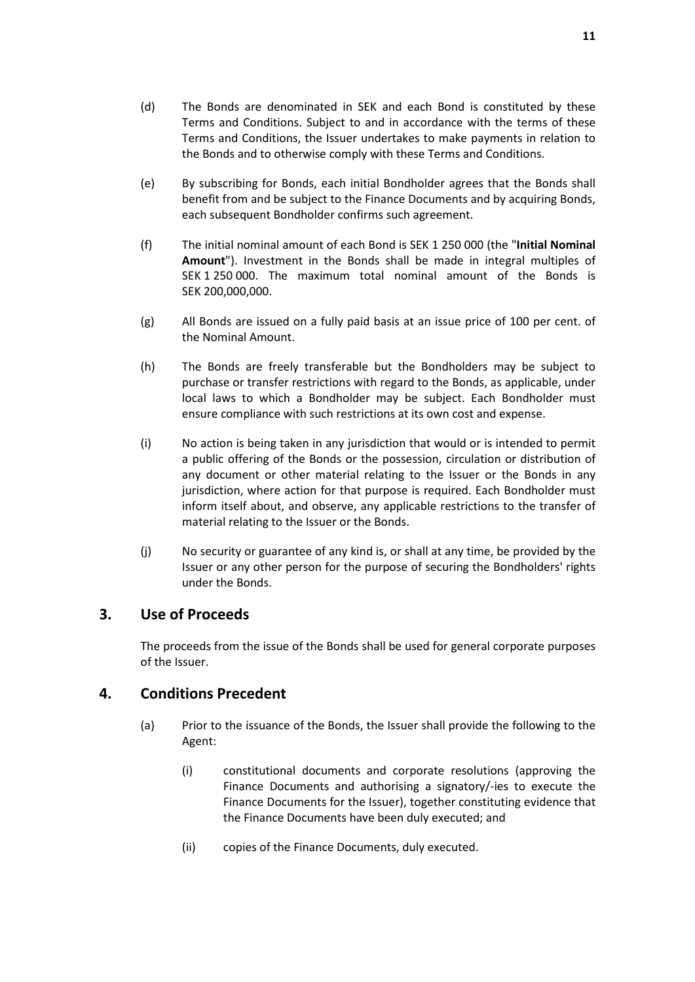- (e) By subscribing for Bonds, each initial Bondholder agrees that the Bonds shall benefit from and be subject to the Finance Documents and by acquiring Bonds, each subsequent Bondholder confirms such agreement.
- (f) The initial nominal amount of each Bond is SEK 1 250 000 (the "**Initial Nominal Amount**"). Investment in the Bonds shall be made in integral multiples of SEK 1 250 000. The maximum total nominal amount of the Bonds is SEK 200,000,000.
- (g) All Bonds are issued on a fully paid basis at an issue price of 100 per cent. of the Nominal Amount.
- (h) The Bonds are freely transferable but the Bondholders may be subject to purchase or transfer restrictions with regard to the Bonds, as applicable, under local laws to which a Bondholder may be subject. Each Bondholder must ensure compliance with such restrictions at its own cost and expense.
- (i) No action is being taken in any jurisdiction that would or is intended to permit a public offering of the Bonds or the possession, circulation or distribution of any document or other material relating to the Issuer or the Bonds in any jurisdiction, where action for that purpose is required. Each Bondholder must inform itself about, and observe, any applicable restrictions to the transfer of material relating to the Issuer or the Bonds.
- (j) No security or guarantee of any kind is, or shall at any time, be provided by the Issuer or any other person for the purpose of securing the Bondholders' rights under the Bonds.

# **3. Use of Proceeds**

The proceeds from the issue of the Bonds shall be used for general corporate purposes of the Issuer.

# **4. Conditions Precedent**

- (a) Prior to the issuance of the Bonds, the Issuer shall provide the following to the Agent:
	- (i) constitutional documents and corporate resolutions (approving the Finance Documents and authorising a signatory/-ies to execute the Finance Documents for the Issuer), together constituting evidence that the Finance Documents have been duly executed; and
	- (ii) copies of the Finance Documents, duly executed.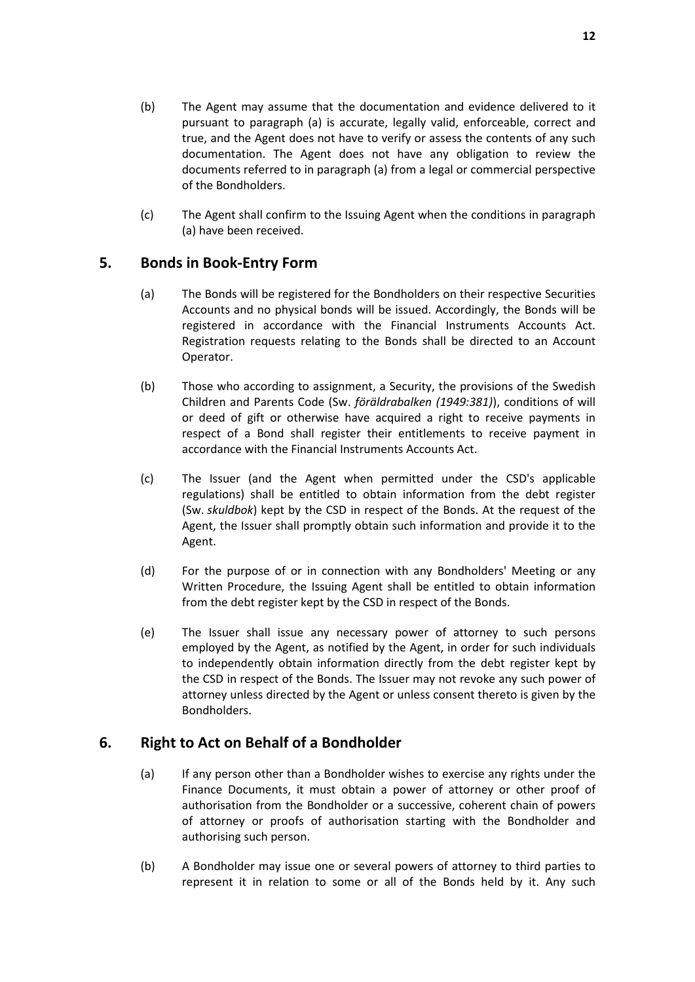- (b) The Agent may assume that the documentation and evidence delivered to it pursuant to paragraph (a) is accurate, legally valid, enforceable, correct and true, and the Agent does not have to verify or assess the contents of any such documentation. The Agent does not have any obligation to review the documents referred to in paragraph (a) from a legal or commercial perspective of the Bondholders.
- (c) The Agent shall confirm to the Issuing Agent when the conditions in paragraph (a) have been received.

# **5. Bonds in Book-Entry Form**

- (a) The Bonds will be registered for the Bondholders on their respective Securities Accounts and no physical bonds will be issued. Accordingly, the Bonds will be registered in accordance with the Financial Instruments Accounts Act. Registration requests relating to the Bonds shall be directed to an Account Operator.
- (b) Those who according to assignment, a Security, the provisions of the Swedish Children and Parents Code (Sw. *föräldrabalken (1949:381)*), conditions of will or deed of gift or otherwise have acquired a right to receive payments in respect of a Bond shall register their entitlements to receive payment in accordance with the Financial Instruments Accounts Act.
- (c) The Issuer (and the Agent when permitted under the CSD's applicable regulations) shall be entitled to obtain information from the debt register (Sw. *skuldbok*) kept by the CSD in respect of the Bonds. At the request of the Agent, the Issuer shall promptly obtain such information and provide it to the Agent.
- (d) For the purpose of or in connection with any Bondholders' Meeting or any Written Procedure, the Issuing Agent shall be entitled to obtain information from the debt register kept by the CSD in respect of the Bonds.
- (e) The Issuer shall issue any necessary power of attorney to such persons employed by the Agent, as notified by the Agent, in order for such individuals to independently obtain information directly from the debt register kept by the CSD in respect of the Bonds. The Issuer may not revoke any such power of attorney unless directed by the Agent or unless consent thereto is given by the Bondholders.

# **6. Right to Act on Behalf of a Bondholder**

- (a) If any person other than a Bondholder wishes to exercise any rights under the Finance Documents, it must obtain a power of attorney or other proof of authorisation from the Bondholder or a successive, coherent chain of powers of attorney or proofs of authorisation starting with the Bondholder and authorising such person.
- (b) A Bondholder may issue one or several powers of attorney to third parties to represent it in relation to some or all of the Bonds held by it. Any such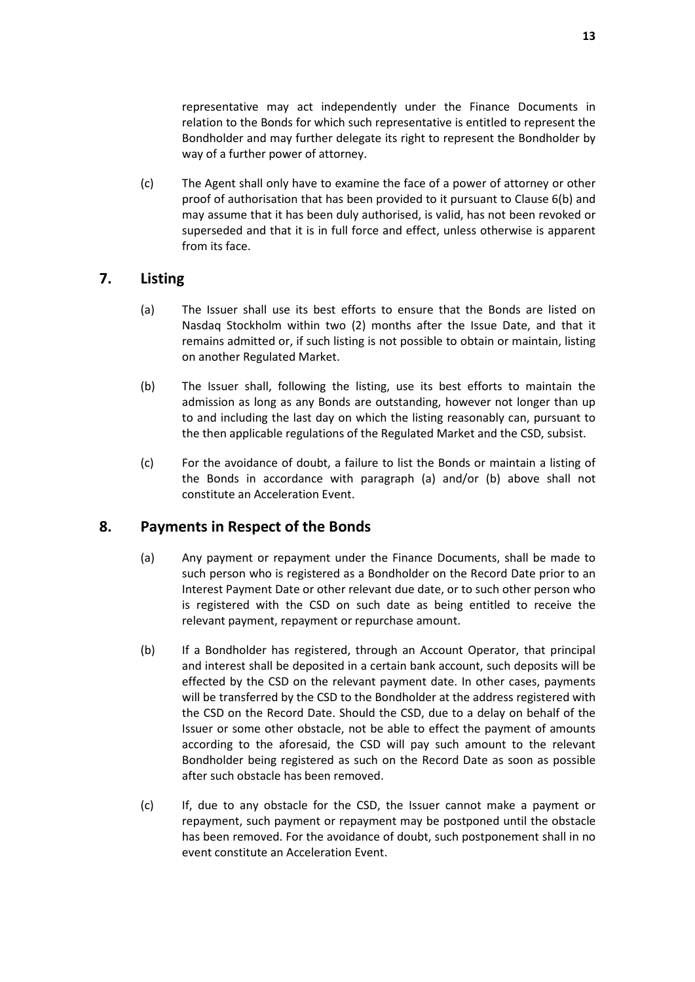representative may act independently under the Finance Documents in relation to the Bonds for which such representative is entitled to represent the Bondholder and may further delegate its right to represent the Bondholder by way of a further power of attorney.

(c) The Agent shall only have to examine the face of a power of attorney or other proof of authorisation that has been provided to it pursuant to Clause 6(b) and may assume that it has been duly authorised, is valid, has not been revoked or superseded and that it is in full force and effect, unless otherwise is apparent from its face.

# **7. Listing**

- (a) The Issuer shall use its best efforts to ensure that the Bonds are listed on Nasdaq Stockholm within two (2) months after the Issue Date, and that it remains admitted or, if such listing is not possible to obtain or maintain, listing on another Regulated Market.
- (b) The Issuer shall, following the listing, use its best efforts to maintain the admission as long as any Bonds are outstanding, however not longer than up to and including the last day on which the listing reasonably can, pursuant to the then applicable regulations of the Regulated Market and the CSD, subsist.
- (c) For the avoidance of doubt, a failure to list the Bonds or maintain a listing of the Bonds in accordance with paragraph (a) and/or (b) above shall not constitute an Acceleration Event.

# **8. Payments in Respect of the Bonds**

- (a) Any payment or repayment under the Finance Documents, shall be made to such person who is registered as a Bondholder on the Record Date prior to an Interest Payment Date or other relevant due date, or to such other person who is registered with the CSD on such date as being entitled to receive the relevant payment, repayment or repurchase amount.
- (b) If a Bondholder has registered, through an Account Operator, that principal and interest shall be deposited in a certain bank account, such deposits will be effected by the CSD on the relevant payment date. In other cases, payments will be transferred by the CSD to the Bondholder at the address registered with the CSD on the Record Date. Should the CSD, due to a delay on behalf of the Issuer or some other obstacle, not be able to effect the payment of amounts according to the aforesaid, the CSD will pay such amount to the relevant Bondholder being registered as such on the Record Date as soon as possible after such obstacle has been removed.
- (c) If, due to any obstacle for the CSD, the Issuer cannot make a payment or repayment, such payment or repayment may be postponed until the obstacle has been removed. For the avoidance of doubt, such postponement shall in no event constitute an Acceleration Event.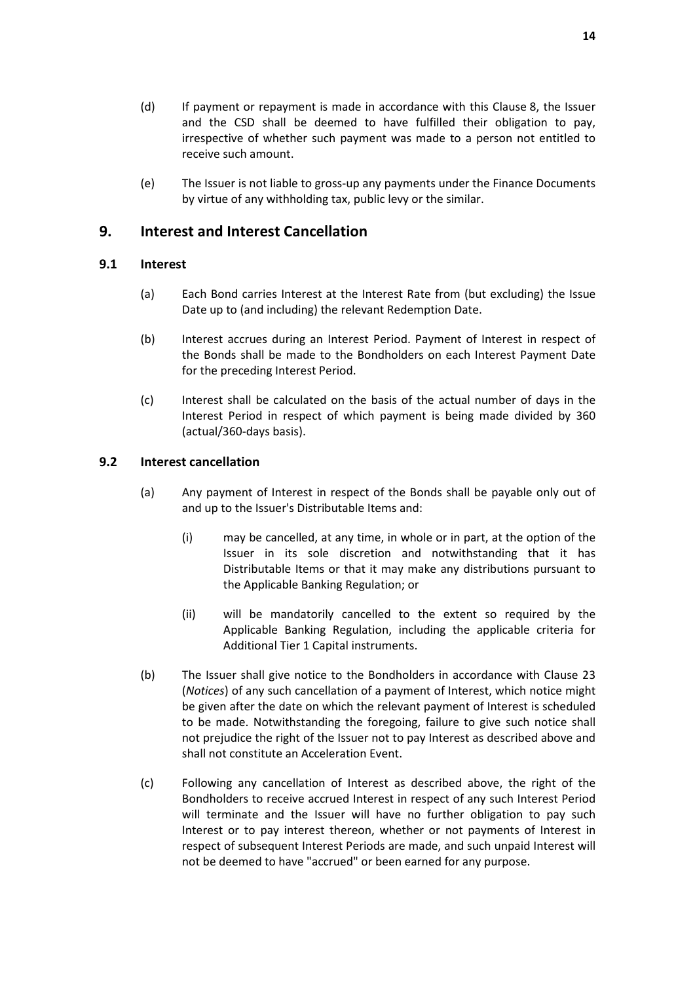- (d) If payment or repayment is made in accordance with this Clause 8, the Issuer and the CSD shall be deemed to have fulfilled their obligation to pay, irrespective of whether such payment was made to a person not entitled to receive such amount.
- (e) The Issuer is not liable to gross-up any payments under the Finance Documents by virtue of any withholding tax, public levy or the similar.

# **9. Interest and Interest Cancellation**

### **9.1 Interest**

- (a) Each Bond carries Interest at the Interest Rate from (but excluding) the Issue Date up to (and including) the relevant Redemption Date.
- (b) Interest accrues during an Interest Period. Payment of Interest in respect of the Bonds shall be made to the Bondholders on each Interest Payment Date for the preceding Interest Period.
- (c) Interest shall be calculated on the basis of the actual number of days in the Interest Period in respect of which payment is being made divided by 360 (actual/360-days basis).

### **9.2 Interest cancellation**

- (a) Any payment of Interest in respect of the Bonds shall be payable only out of and up to the Issuer's Distributable Items and:
	- (i) may be cancelled, at any time, in whole or in part, at the option of the Issuer in its sole discretion and notwithstanding that it has Distributable Items or that it may make any distributions pursuant to the Applicable Banking Regulation; or
	- (ii) will be mandatorily cancelled to the extent so required by the Applicable Banking Regulation, including the applicable criteria for Additional Tier 1 Capital instruments.
- (b) The Issuer shall give notice to the Bondholders in accordance with Clause 23 (*Notices*) of any such cancellation of a payment of Interest, which notice might be given after the date on which the relevant payment of Interest is scheduled to be made. Notwithstanding the foregoing, failure to give such notice shall not prejudice the right of the Issuer not to pay Interest as described above and shall not constitute an Acceleration Event.
- (c) Following any cancellation of Interest as described above, the right of the Bondholders to receive accrued Interest in respect of any such Interest Period will terminate and the Issuer will have no further obligation to pay such Interest or to pay interest thereon, whether or not payments of Interest in respect of subsequent Interest Periods are made, and such unpaid Interest will not be deemed to have "accrued" or been earned for any purpose.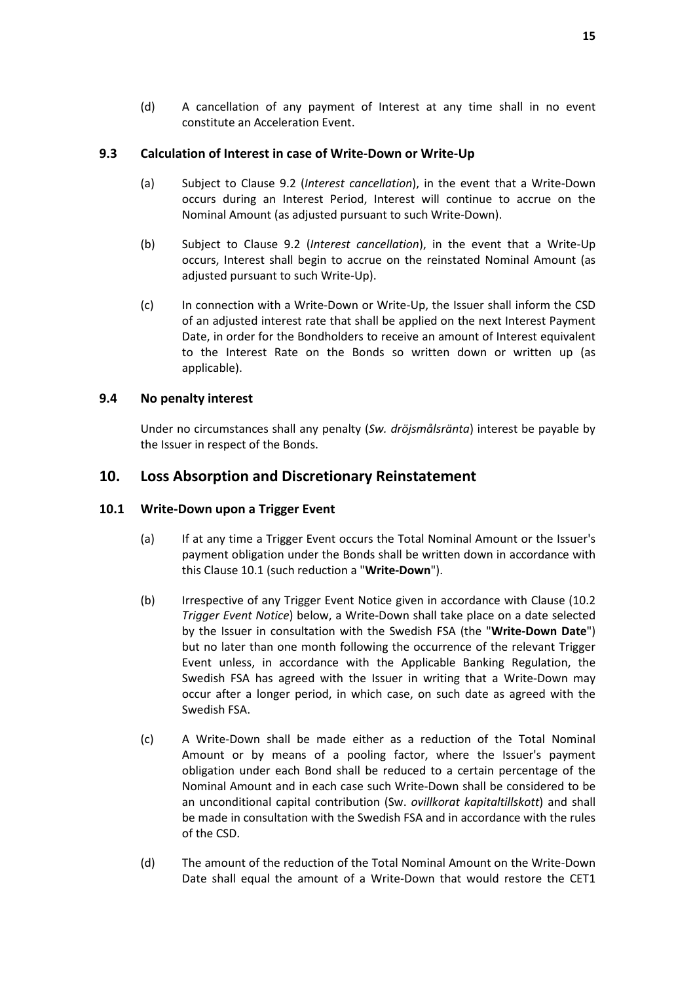### **9.3 Calculation of Interest in case of Write-Down or Write-Up**

- (a) Subject to Clause 9.2 (*Interest cancellation*), in the event that a Write-Down occurs during an Interest Period, Interest will continue to accrue on the Nominal Amount (as adjusted pursuant to such Write-Down).
- (b) Subject to Clause 9.2 (*Interest cancellation*), in the event that a Write-Up occurs, Interest shall begin to accrue on the reinstated Nominal Amount (as adjusted pursuant to such Write-Up).
- (c) In connection with a Write-Down or Write-Up, the Issuer shall inform the CSD of an adjusted interest rate that shall be applied on the next Interest Payment Date, in order for the Bondholders to receive an amount of Interest equivalent to the Interest Rate on the Bonds so written down or written up (as applicable).

# **9.4 No penalty interest**

Under no circumstances shall any penalty (*Sw. dröjsmålsränta*) interest be payable by the Issuer in respect of the Bonds.

# **10. Loss Absorption and Discretionary Reinstatement**

### **10.1 Write-Down upon a Trigger Event**

- (a) If at any time a Trigger Event occurs the Total Nominal Amount or the Issuer's payment obligation under the Bonds shall be written down in accordance with this Clause 10.1 (such reduction a "**Write-Down**").
- (b) Irrespective of any Trigger Event Notice given in accordance with Clause (10.2 *Trigger Event Notice*) below, a Write-Down shall take place on a date selected by the Issuer in consultation with the Swedish FSA (the "**Write-Down Date**") but no later than one month following the occurrence of the relevant Trigger Event unless, in accordance with the Applicable Banking Regulation, the Swedish FSA has agreed with the Issuer in writing that a Write-Down may occur after a longer period, in which case, on such date as agreed with the Swedish FSA.
- (c) A Write-Down shall be made either as a reduction of the Total Nominal Amount or by means of a pooling factor, where the Issuer's payment obligation under each Bond shall be reduced to a certain percentage of the Nominal Amount and in each case such Write-Down shall be considered to be an unconditional capital contribution (Sw. *ovillkorat kapitaltillskott*) and shall be made in consultation with the Swedish FSA and in accordance with the rules of the CSD.
- (d) The amount of the reduction of the Total Nominal Amount on the Write-Down Date shall equal the amount of a Write-Down that would restore the CET1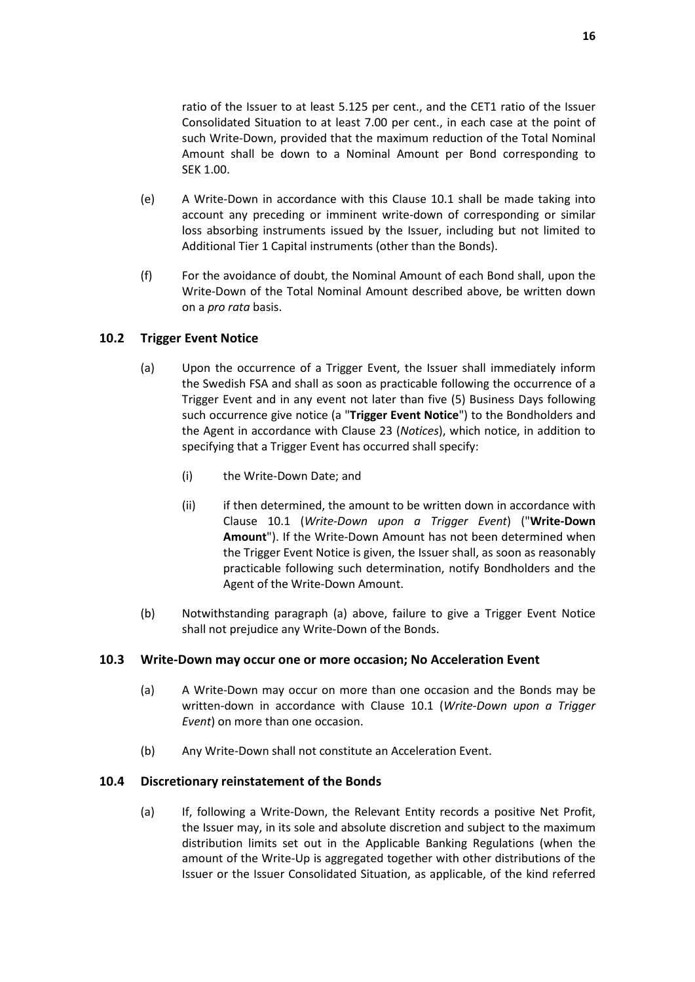ratio of the Issuer to at least 5.125 per cent., and the CET1 ratio of the Issuer Consolidated Situation to at least 7.00 per cent., in each case at the point of such Write-Down, provided that the maximum reduction of the Total Nominal Amount shall be down to a Nominal Amount per Bond corresponding to SEK 1.00.

- (e) A Write-Down in accordance with this Clause 10.1 shall be made taking into account any preceding or imminent write-down of corresponding or similar loss absorbing instruments issued by the Issuer, including but not limited to Additional Tier 1 Capital instruments (other than the Bonds).
- (f) For the avoidance of doubt, the Nominal Amount of each Bond shall, upon the Write-Down of the Total Nominal Amount described above, be written down on a *pro rata* basis.

### **10.2 Trigger Event Notice**

- (a) Upon the occurrence of a Trigger Event, the Issuer shall immediately inform the Swedish FSA and shall as soon as practicable following the occurrence of a Trigger Event and in any event not later than five (5) Business Days following such occurrence give notice (a "**Trigger Event Notice**") to the Bondholders and the Agent in accordance with Clause 23 (*Notices*), which notice, in addition to specifying that a Trigger Event has occurred shall specify:
	- (i) the Write-Down Date; and
	- (ii) if then determined, the amount to be written down in accordance with Clause 10.1 (*Write-Down upon a Trigger Event*) ("**Write-Down Amount**"). If the Write-Down Amount has not been determined when the Trigger Event Notice is given, the Issuer shall, as soon as reasonably practicable following such determination, notify Bondholders and the Agent of the Write-Down Amount.
- (b) Notwithstanding paragraph (a) above, failure to give a Trigger Event Notice shall not prejudice any Write-Down of the Bonds.

#### **10.3 Write-Down may occur one or more occasion; No Acceleration Event**

- (a) A Write-Down may occur on more than one occasion and the Bonds may be written-down in accordance with Clause 10.1 (*Write-Down upon a Trigger Event*) on more than one occasion.
- (b) Any Write-Down shall not constitute an Acceleration Event.

#### **10.4 Discretionary reinstatement of the Bonds**

(a) If, following a Write-Down, the Relevant Entity records a positive Net Profit, the Issuer may, in its sole and absolute discretion and subject to the maximum distribution limits set out in the Applicable Banking Regulations (when the amount of the Write-Up is aggregated together with other distributions of the Issuer or the Issuer Consolidated Situation, as applicable, of the kind referred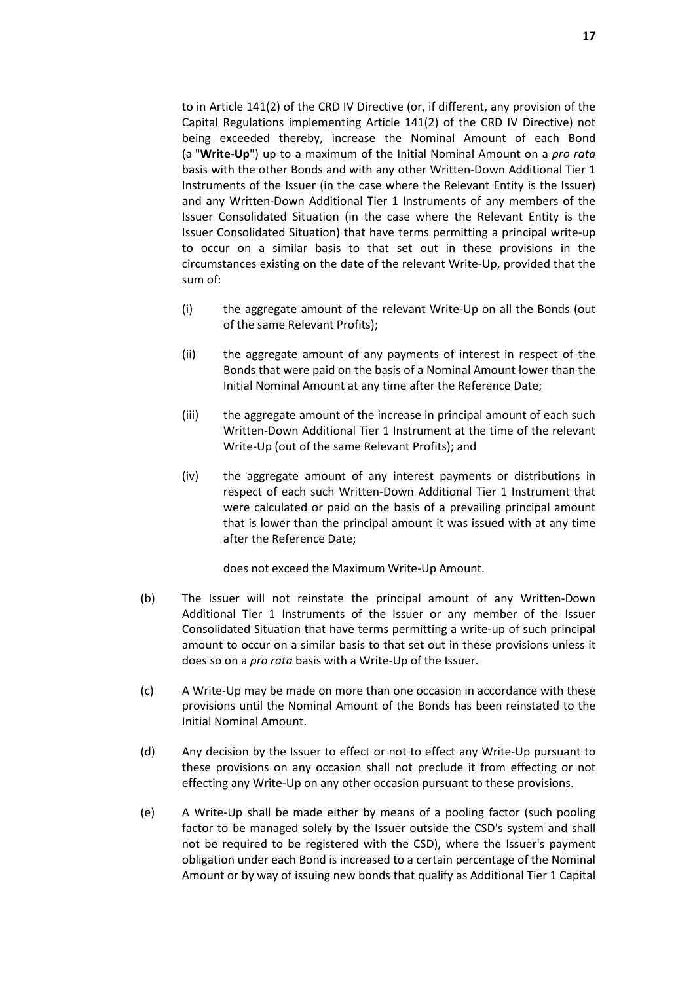to in Article 141(2) of the CRD IV Directive (or, if different, any provision of the Capital Regulations implementing Article 141(2) of the CRD IV Directive) not being exceeded thereby, increase the Nominal Amount of each Bond (a "**Write-Up**") up to a maximum of the Initial Nominal Amount on a *pro rata* basis with the other Bonds and with any other Written-Down Additional Tier 1 Instruments of the Issuer (in the case where the Relevant Entity is the Issuer) and any Written-Down Additional Tier 1 Instruments of any members of the Issuer Consolidated Situation (in the case where the Relevant Entity is the Issuer Consolidated Situation) that have terms permitting a principal write-up to occur on a similar basis to that set out in these provisions in the circumstances existing on the date of the relevant Write-Up, provided that the sum of:

- (i) the aggregate amount of the relevant Write-Up on all the Bonds (out of the same Relevant Profits);
- (ii) the aggregate amount of any payments of interest in respect of the Bonds that were paid on the basis of a Nominal Amount lower than the Initial Nominal Amount at any time after the Reference Date;
- (iii) the aggregate amount of the increase in principal amount of each such Written-Down Additional Tier 1 Instrument at the time of the relevant Write-Up (out of the same Relevant Profits); and
- (iv) the aggregate amount of any interest payments or distributions in respect of each such Written-Down Additional Tier 1 Instrument that were calculated or paid on the basis of a prevailing principal amount that is lower than the principal amount it was issued with at any time after the Reference Date;

does not exceed the Maximum Write-Up Amount.

- (b) The Issuer will not reinstate the principal amount of any Written-Down Additional Tier 1 Instruments of the Issuer or any member of the Issuer Consolidated Situation that have terms permitting a write-up of such principal amount to occur on a similar basis to that set out in these provisions unless it does so on a *pro rata* basis with a Write-Up of the Issuer.
- (c) A Write-Up may be made on more than one occasion in accordance with these provisions until the Nominal Amount of the Bonds has been reinstated to the Initial Nominal Amount.
- (d) Any decision by the Issuer to effect or not to effect any Write-Up pursuant to these provisions on any occasion shall not preclude it from effecting or not effecting any Write-Up on any other occasion pursuant to these provisions.
- (e) A Write-Up shall be made either by means of a pooling factor (such pooling factor to be managed solely by the Issuer outside the CSD's system and shall not be required to be registered with the CSD), where the Issuer's payment obligation under each Bond is increased to a certain percentage of the Nominal Amount or by way of issuing new bonds that qualify as Additional Tier 1 Capital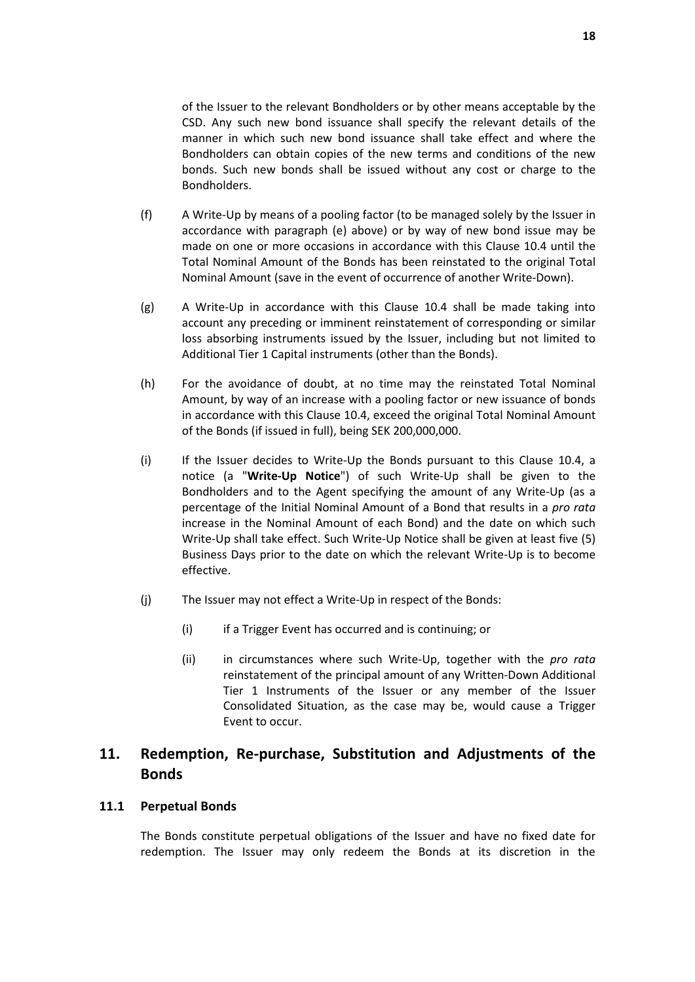of the Issuer to the relevant Bondholders or by other means acceptable by the CSD. Any such new bond issuance shall specify the relevant details of the manner in which such new bond issuance shall take effect and where the Bondholders can obtain copies of the new terms and conditions of the new bonds. Such new bonds shall be issued without any cost or charge to the Bondholders.

- (f) A Write-Up by means of a pooling factor (to be managed solely by the Issuer in accordance with paragraph (e) above) or by way of new bond issue may be made on one or more occasions in accordance with this Clause 10.4 until the Total Nominal Amount of the Bonds has been reinstated to the original Total Nominal Amount (save in the event of occurrence of another Write-Down).
- (g) A Write-Up in accordance with this Clause 10.4 shall be made taking into account any preceding or imminent reinstatement of corresponding or similar loss absorbing instruments issued by the Issuer, including but not limited to Additional Tier 1 Capital instruments (other than the Bonds).
- (h) For the avoidance of doubt, at no time may the reinstated Total Nominal Amount, by way of an increase with a pooling factor or new issuance of bonds in accordance with this Clause 10.4, exceed the original Total Nominal Amount of the Bonds (if issued in full), being SEK 200,000,000.
- (i) If the Issuer decides to Write-Up the Bonds pursuant to this Clause 10.4, a notice (a "**Write-Up Notice**") of such Write-Up shall be given to the Bondholders and to the Agent specifying the amount of any Write-Up (as a percentage of the Initial Nominal Amount of a Bond that results in a *pro rata* increase in the Nominal Amount of each Bond) and the date on which such Write-Up shall take effect. Such Write-Up Notice shall be given at least five (5) Business Days prior to the date on which the relevant Write-Up is to become effective.
- (j) The Issuer may not effect a Write-Up in respect of the Bonds:
	- (i) if a Trigger Event has occurred and is continuing; or
	- (ii) in circumstances where such Write-Up, together with the *pro rata* reinstatement of the principal amount of any Written-Down Additional Tier 1 Instruments of the Issuer or any member of the Issuer Consolidated Situation, as the case may be, would cause a Trigger Event to occur.

# **11. Redemption, Re-purchase, Substitution and Adjustments of the Bonds**

### **11.1 Perpetual Bonds**

The Bonds constitute perpetual obligations of the Issuer and have no fixed date for redemption. The Issuer may only redeem the Bonds at its discretion in the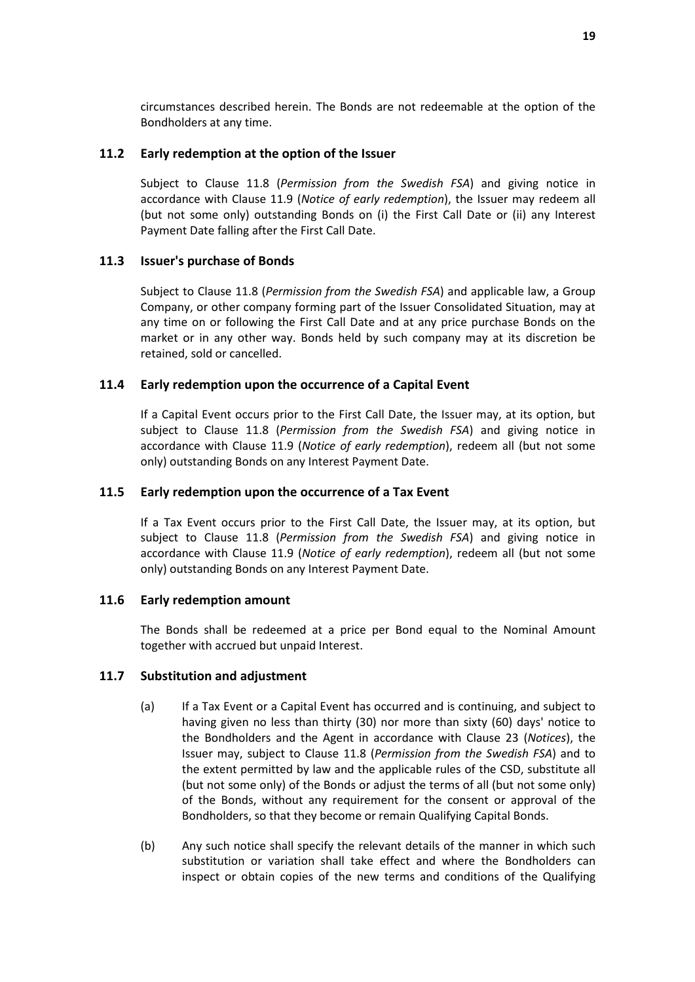circumstances described herein. The Bonds are not redeemable at the option of the Bondholders at any time.

### **11.2 Early redemption at the option of the Issuer**

Subject to Clause 11.8 (*Permission from the Swedish FSA*) and giving notice in accordance with Clause 11.9 (*Notice of early redemption*), the Issuer may redeem all (but not some only) outstanding Bonds on (i) the First Call Date or (ii) any Interest Payment Date falling after the First Call Date.

### **11.3 Issuer's purchase of Bonds**

Subject to Clause 11.8 (*Permission from the Swedish FSA*) and applicable law, a Group Company, or other company forming part of the Issuer Consolidated Situation, may at any time on or following the First Call Date and at any price purchase Bonds on the market or in any other way. Bonds held by such company may at its discretion be retained, sold or cancelled.

### **11.4 Early redemption upon the occurrence of a Capital Event**

If a Capital Event occurs prior to the First Call Date, the Issuer may, at its option, but subject to Clause 11.8 (*Permission from the Swedish FSA*) and giving notice in accordance with Clause 11.9 (*Notice of early redemption*), redeem all (but not some only) outstanding Bonds on any Interest Payment Date.

#### **11.5 Early redemption upon the occurrence of a Tax Event**

If a Tax Event occurs prior to the First Call Date, the Issuer may, at its option, but subject to Clause 11.8 (*Permission from the Swedish FSA*) and giving notice in accordance with Clause 11.9 (*Notice of early redemption*), redeem all (but not some only) outstanding Bonds on any Interest Payment Date.

#### **11.6 Early redemption amount**

The Bonds shall be redeemed at a price per Bond equal to the Nominal Amount together with accrued but unpaid Interest.

#### **11.7 Substitution and adjustment**

- (a) If a Tax Event or a Capital Event has occurred and is continuing, and subject to having given no less than thirty (30) nor more than sixty (60) days' notice to the Bondholders and the Agent in accordance with Clause 23 (*Notices*), the Issuer may, subject to Clause 11.8 (*Permission from the Swedish FSA*) and to the extent permitted by law and the applicable rules of the CSD, substitute all (but not some only) of the Bonds or adjust the terms of all (but not some only) of the Bonds, without any requirement for the consent or approval of the Bondholders, so that they become or remain Qualifying Capital Bonds.
- (b) Any such notice shall specify the relevant details of the manner in which such substitution or variation shall take effect and where the Bondholders can inspect or obtain copies of the new terms and conditions of the Qualifying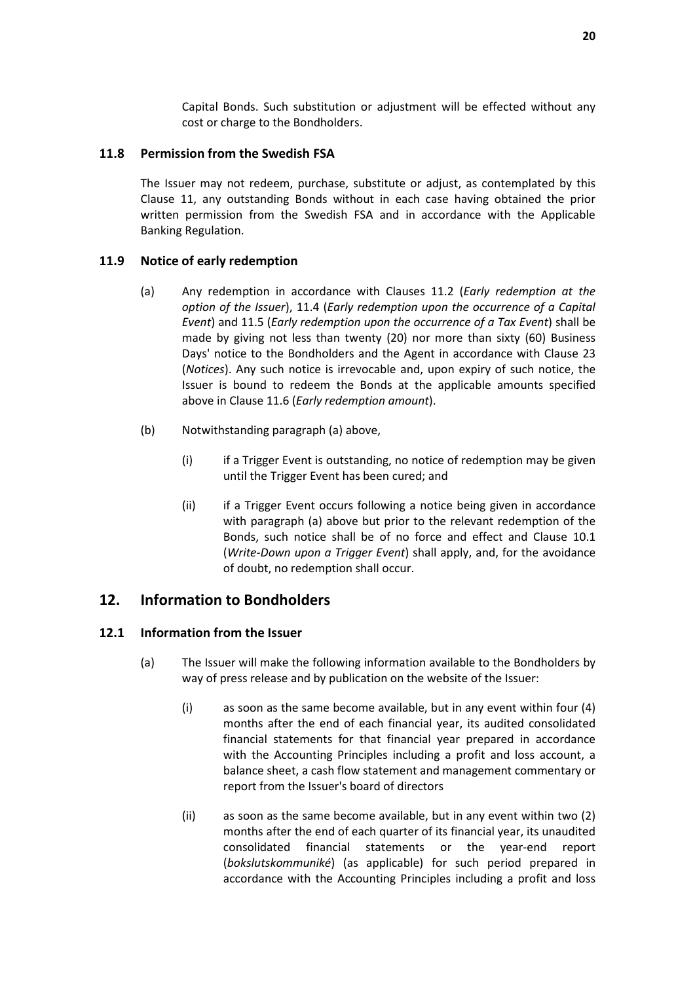Capital Bonds. Such substitution or adjustment will be effected without any cost or charge to the Bondholders.

### **11.8 Permission from the Swedish FSA**

The Issuer may not redeem, purchase, substitute or adjust, as contemplated by this Clause 11, any outstanding Bonds without in each case having obtained the prior written permission from the Swedish FSA and in accordance with the Applicable Banking Regulation.

### **11.9 Notice of early redemption**

- (a) Any redemption in accordance with Clauses 11.2 (*Early redemption at the option of the Issuer*), 11.4 (*Early redemption upon the occurrence of a Capital Event*) and 11.5 (*Early redemption upon the occurrence of a Tax Event*) shall be made by giving not less than twenty (20) nor more than sixty (60) Business Days' notice to the Bondholders and the Agent in accordance with Clause 23 (*Notices*). Any such notice is irrevocable and, upon expiry of such notice, the Issuer is bound to redeem the Bonds at the applicable amounts specified above in Clause 11.6 (*Early redemption amount*).
- (b) Notwithstanding paragraph (a) above,
	- (i) if a Trigger Event is outstanding, no notice of redemption may be given until the Trigger Event has been cured; and
	- (ii) if a Trigger Event occurs following a notice being given in accordance with paragraph (a) above but prior to the relevant redemption of the Bonds, such notice shall be of no force and effect and Clause 10.1 (*Write-Down upon a Trigger Event*) shall apply, and, for the avoidance of doubt, no redemption shall occur.

### **12. Information to Bondholders**

#### **12.1 Information from the Issuer**

- (a) The Issuer will make the following information available to the Bondholders by way of press release and by publication on the website of the Issuer:
	- (i) as soon as the same become available, but in any event within four (4) months after the end of each financial year, its audited consolidated financial statements for that financial year prepared in accordance with the Accounting Principles including a profit and loss account, a balance sheet, a cash flow statement and management commentary or report from the Issuer's board of directors
	- (ii) as soon as the same become available, but in any event within two (2) months after the end of each quarter of its financial year, its unaudited consolidated financial statements or the year-end report (*bokslutskommuniké*) (as applicable) for such period prepared in accordance with the Accounting Principles including a profit and loss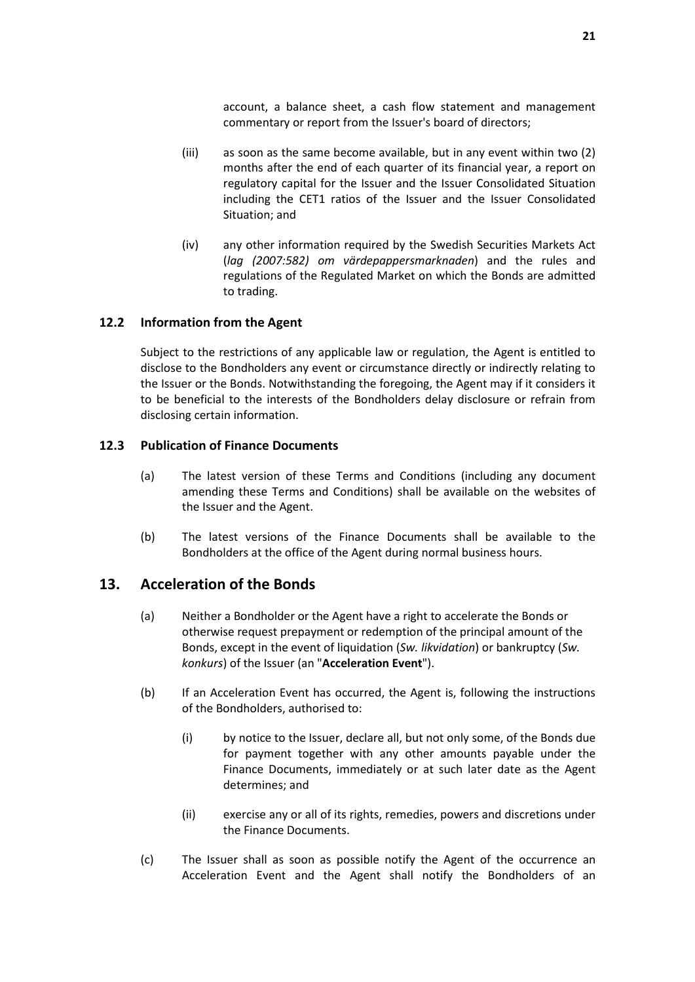account, a balance sheet, a cash flow statement and management commentary or report from the Issuer's board of directors;

- (iii) as soon as the same become available, but in any event within two (2) months after the end of each quarter of its financial year, a report on regulatory capital for the Issuer and the Issuer Consolidated Situation including the CET1 ratios of the Issuer and the Issuer Consolidated Situation; and
- (iv) any other information required by the Swedish Securities Markets Act (*lag (2007:582) om värdepappersmarknaden*) and the rules and regulations of the Regulated Market on which the Bonds are admitted to trading.

### **12.2 Information from the Agent**

Subject to the restrictions of any applicable law or regulation, the Agent is entitled to disclose to the Bondholders any event or circumstance directly or indirectly relating to the Issuer or the Bonds. Notwithstanding the foregoing, the Agent may if it considers it to be beneficial to the interests of the Bondholders delay disclosure or refrain from disclosing certain information.

#### **12.3 Publication of Finance Documents**

- (a) The latest version of these Terms and Conditions (including any document amending these Terms and Conditions) shall be available on the websites of the Issuer and the Agent.
- (b) The latest versions of the Finance Documents shall be available to the Bondholders at the office of the Agent during normal business hours.

# **13. Acceleration of the Bonds**

- (a) Neither a Bondholder or the Agent have a right to accelerate the Bonds or otherwise request prepayment or redemption of the principal amount of the Bonds, except in the event of liquidation (*Sw. likvidation*) or bankruptcy (*Sw. konkurs*) of the Issuer (an "**Acceleration Event**").
- (b) If an Acceleration Event has occurred, the Agent is, following the instructions of the Bondholders, authorised to:
	- (i) by notice to the Issuer, declare all, but not only some, of the Bonds due for payment together with any other amounts payable under the Finance Documents, immediately or at such later date as the Agent determines; and
	- (ii) exercise any or all of its rights, remedies, powers and discretions under the Finance Documents.
- (c) The Issuer shall as soon as possible notify the Agent of the occurrence an Acceleration Event and the Agent shall notify the Bondholders of an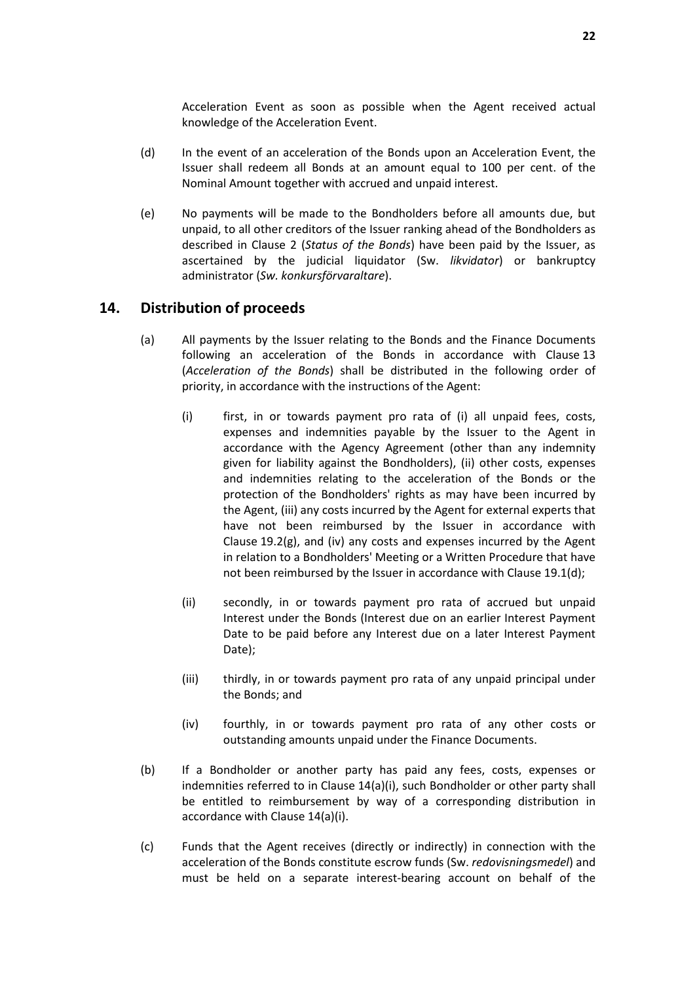Acceleration Event as soon as possible when the Agent received actual knowledge of the Acceleration Event.

- (d) In the event of an acceleration of the Bonds upon an Acceleration Event, the Issuer shall redeem all Bonds at an amount equal to 100 per cent. of the Nominal Amount together with accrued and unpaid interest.
- (e) No payments will be made to the Bondholders before all amounts due, but unpaid, to all other creditors of the Issuer ranking ahead of the Bondholders as described in Clause 2 (*Status of the Bonds*) have been paid by the Issuer, as ascertained by the judicial liquidator (Sw. *likvidator*) or bankruptcy administrator (*Sw. konkursförvaraltare*).

# **14. Distribution of proceeds**

- (a) All payments by the Issuer relating to the Bonds and the Finance Documents following an acceleration of the Bonds in accordance with Clause 13 (*Acceleration of the Bonds*) shall be distributed in the following order of priority, in accordance with the instructions of the Agent:
	- (i) first, in or towards payment pro rata of (i) all unpaid fees, costs, expenses and indemnities payable by the Issuer to the Agent in accordance with the Agency Agreement (other than any indemnity given for liability against the Bondholders), (ii) other costs, expenses and indemnities relating to the acceleration of the Bonds or the protection of the Bondholders' rights as may have been incurred by the Agent, (iii) any costs incurred by the Agent for external experts that have not been reimbursed by the Issuer in accordance with Clause 19.2(g), and (iv) any costs and expenses incurred by the Agent in relation to a Bondholders' Meeting or a Written Procedure that have not been reimbursed by the Issuer in accordance with Clause 19.1(d);
	- (ii) secondly, in or towards payment pro rata of accrued but unpaid Interest under the Bonds (Interest due on an earlier Interest Payment Date to be paid before any Interest due on a later Interest Payment Date);
	- (iii) thirdly, in or towards payment pro rata of any unpaid principal under the Bonds; and
	- (iv) fourthly, in or towards payment pro rata of any other costs or outstanding amounts unpaid under the Finance Documents.
- (b) If a Bondholder or another party has paid any fees, costs, expenses or indemnities referred to in Clause 14(a)(i), such Bondholder or other party shall be entitled to reimbursement by way of a corresponding distribution in accordance with Clause 14(a)(i).
- (c) Funds that the Agent receives (directly or indirectly) in connection with the acceleration of the Bonds constitute escrow funds (Sw. *redovisningsmedel*) and must be held on a separate interest-bearing account on behalf of the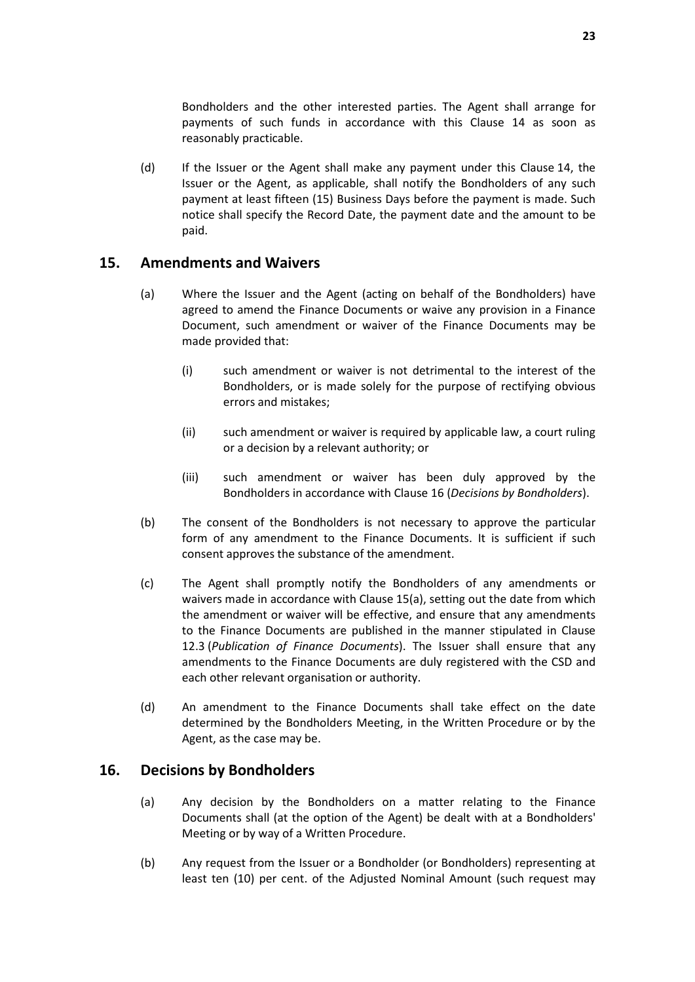Bondholders and the other interested parties. The Agent shall arrange for payments of such funds in accordance with this Clause 14 as soon as reasonably practicable.

(d) If the Issuer or the Agent shall make any payment under this Clause 14, the Issuer or the Agent, as applicable, shall notify the Bondholders of any such payment at least fifteen (15) Business Days before the payment is made. Such notice shall specify the Record Date, the payment date and the amount to be paid.

# **15. Amendments and Waivers**

- (a) Where the Issuer and the Agent (acting on behalf of the Bondholders) have agreed to amend the Finance Documents or waive any provision in a Finance Document, such amendment or waiver of the Finance Documents may be made provided that:
	- (i) such amendment or waiver is not detrimental to the interest of the Bondholders, or is made solely for the purpose of rectifying obvious errors and mistakes;
	- (ii) such amendment or waiver is required by applicable law, a court ruling or a decision by a relevant authority; or
	- (iii) such amendment or waiver has been duly approved by the Bondholders in accordance with Clause 16 (*Decisions by Bondholders*).
- (b) The consent of the Bondholders is not necessary to approve the particular form of any amendment to the Finance Documents. It is sufficient if such consent approves the substance of the amendment.
- (c) The Agent shall promptly notify the Bondholders of any amendments or waivers made in accordance with Clause 15(a), setting out the date from which the amendment or waiver will be effective, and ensure that any amendments to the Finance Documents are published in the manner stipulated in Clause 12.3 (*Publication of Finance Documents*). The Issuer shall ensure that any amendments to the Finance Documents are duly registered with the CSD and each other relevant organisation or authority.
- (d) An amendment to the Finance Documents shall take effect on the date determined by the Bondholders Meeting, in the Written Procedure or by the Agent, as the case may be.

### **16. Decisions by Bondholders**

- (a) Any decision by the Bondholders on a matter relating to the Finance Documents shall (at the option of the Agent) be dealt with at a Bondholders' Meeting or by way of a Written Procedure.
- (b) Any request from the Issuer or a Bondholder (or Bondholders) representing at least ten (10) per cent. of the Adjusted Nominal Amount (such request may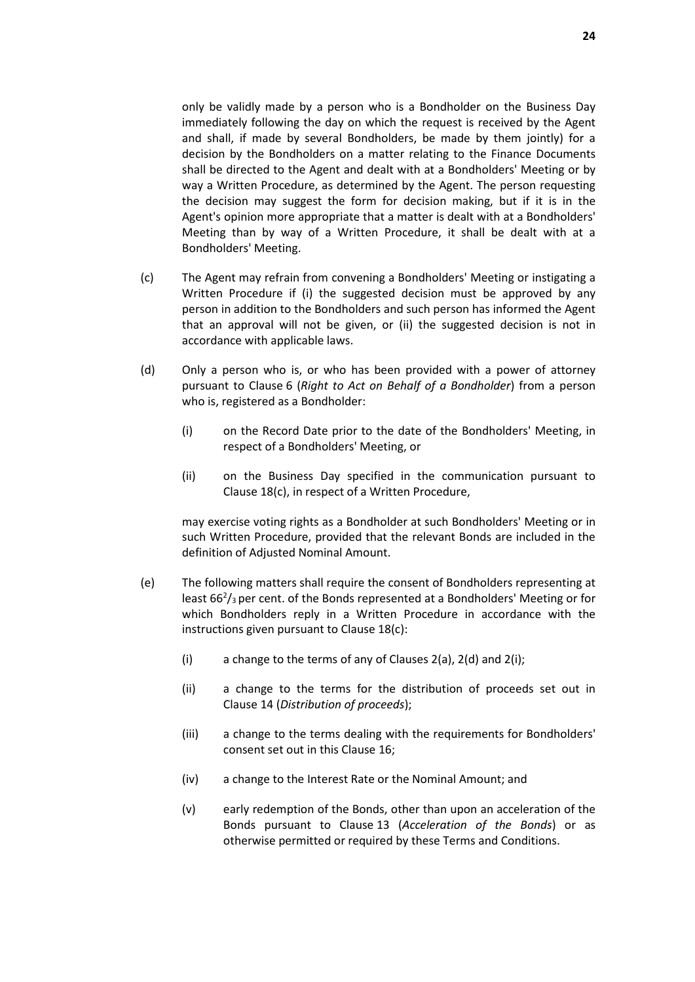only be validly made by a person who is a Bondholder on the Business Day immediately following the day on which the request is received by the Agent and shall, if made by several Bondholders, be made by them jointly) for a decision by the Bondholders on a matter relating to the Finance Documents shall be directed to the Agent and dealt with at a Bondholders' Meeting or by way a Written Procedure, as determined by the Agent. The person requesting the decision may suggest the form for decision making, but if it is in the Agent's opinion more appropriate that a matter is dealt with at a Bondholders' Meeting than by way of a Written Procedure, it shall be dealt with at a Bondholders' Meeting.

- (c) The Agent may refrain from convening a Bondholders' Meeting or instigating a Written Procedure if (i) the suggested decision must be approved by any person in addition to the Bondholders and such person has informed the Agent that an approval will not be given, or (ii) the suggested decision is not in accordance with applicable laws.
- (d) Only a person who is, or who has been provided with a power of attorney pursuant to Clause 6 (*Right to Act on Behalf of a Bondholder*) from a person who is, registered as a Bondholder:
	- (i) on the Record Date prior to the date of the Bondholders' Meeting, in respect of a Bondholders' Meeting, or
	- (ii) on the Business Day specified in the communication pursuant to Clause 18(c), in respect of a Written Procedure,

may exercise voting rights as a Bondholder at such Bondholders' Meeting or in such Written Procedure, provided that the relevant Bonds are included in the definition of Adjusted Nominal Amount.

- (e) The following matters shall require the consent of Bondholders representing at least  $66<sup>2</sup>/3$  per cent. of the Bonds represented at a Bondholders' Meeting or for which Bondholders reply in a Written Procedure in accordance with the instructions given pursuant to Clause 18(c):
	- (i) a change to the terms of any of Clauses  $2(a)$ ,  $2(d)$  and  $2(i)$ ;
	- (ii) a change to the terms for the distribution of proceeds set out in Clause 14 (*Distribution of proceeds*);
	- (iii) a change to the terms dealing with the requirements for Bondholders' consent set out in this Clause 16;
	- (iv) a change to the Interest Rate or the Nominal Amount; and
	- (v) early redemption of the Bonds, other than upon an acceleration of the Bonds pursuant to Clause 13 (*Acceleration of the Bonds*) or as otherwise permitted or required by these Terms and Conditions.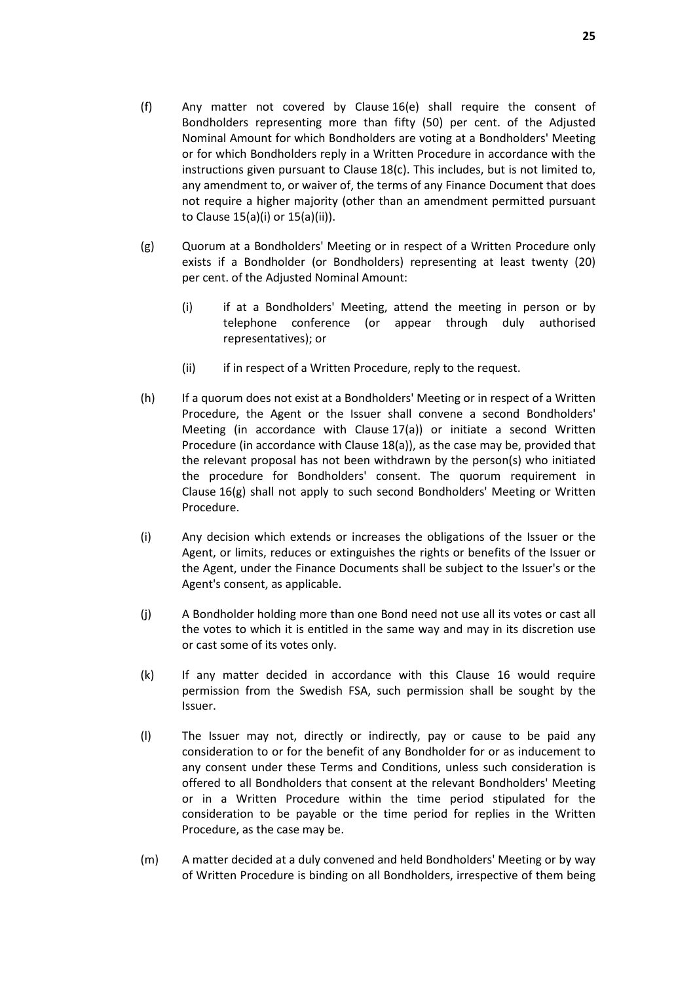- (f) Any matter not covered by Clause 16(e) shall require the consent of Bondholders representing more than fifty (50) per cent. of the Adjusted Nominal Amount for which Bondholders are voting at a Bondholders' Meeting or for which Bondholders reply in a Written Procedure in accordance with the instructions given pursuant to Clause 18(c). This includes, but is not limited to, any amendment to, or waiver of, the terms of any Finance Document that does not require a higher majority (other than an amendment permitted pursuant to Clause 15(a)(i) or 15(a)(ii)).
- (g) Quorum at a Bondholders' Meeting or in respect of a Written Procedure only exists if a Bondholder (or Bondholders) representing at least twenty (20) per cent. of the Adjusted Nominal Amount:
	- (i) if at a Bondholders' Meeting, attend the meeting in person or by telephone conference (or appear through duly authorised representatives); or
	- (ii) if in respect of a Written Procedure, reply to the request.
- (h) If a quorum does not exist at a Bondholders' Meeting or in respect of a Written Procedure, the Agent or the Issuer shall convene a second Bondholders' Meeting (in accordance with Clause 17(a)) or initiate a second Written Procedure (in accordance with Clause 18(a)), as the case may be, provided that the relevant proposal has not been withdrawn by the person(s) who initiated the procedure for Bondholders' consent. The quorum requirement in Clause 16(g) shall not apply to such second Bondholders' Meeting or Written Procedure.
- (i) Any decision which extends or increases the obligations of the Issuer or the Agent, or limits, reduces or extinguishes the rights or benefits of the Issuer or the Agent, under the Finance Documents shall be subject to the Issuer's or the Agent's consent, as applicable.
- (j) A Bondholder holding more than one Bond need not use all its votes or cast all the votes to which it is entitled in the same way and may in its discretion use or cast some of its votes only.
- (k) If any matter decided in accordance with this Clause 16 would require permission from the Swedish FSA, such permission shall be sought by the Issuer.
- (l) The Issuer may not, directly or indirectly, pay or cause to be paid any consideration to or for the benefit of any Bondholder for or as inducement to any consent under these Terms and Conditions, unless such consideration is offered to all Bondholders that consent at the relevant Bondholders' Meeting or in a Written Procedure within the time period stipulated for the consideration to be payable or the time period for replies in the Written Procedure, as the case may be.
- (m) A matter decided at a duly convened and held Bondholders' Meeting or by way of Written Procedure is binding on all Bondholders, irrespective of them being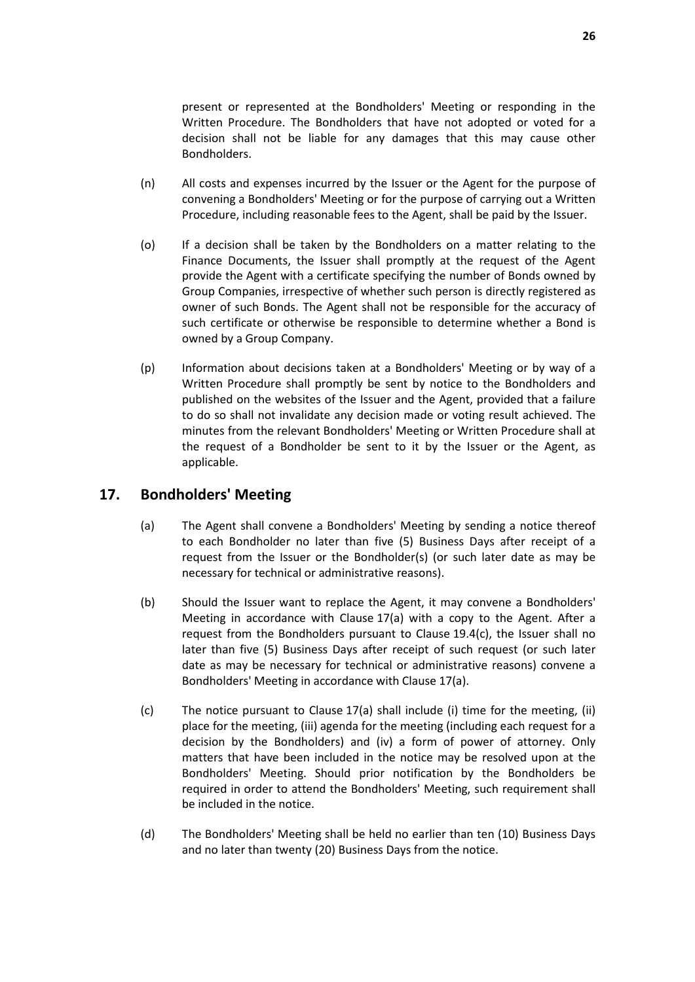present or represented at the Bondholders' Meeting or responding in the Written Procedure. The Bondholders that have not adopted or voted for a decision shall not be liable for any damages that this may cause other Bondholders.

- (n) All costs and expenses incurred by the Issuer or the Agent for the purpose of convening a Bondholders' Meeting or for the purpose of carrying out a Written Procedure, including reasonable fees to the Agent, shall be paid by the Issuer.
- (o) If a decision shall be taken by the Bondholders on a matter relating to the Finance Documents, the Issuer shall promptly at the request of the Agent provide the Agent with a certificate specifying the number of Bonds owned by Group Companies, irrespective of whether such person is directly registered as owner of such Bonds. The Agent shall not be responsible for the accuracy of such certificate or otherwise be responsible to determine whether a Bond is owned by a Group Company.
- (p) Information about decisions taken at a Bondholders' Meeting or by way of a Written Procedure shall promptly be sent by notice to the Bondholders and published on the websites of the Issuer and the Agent, provided that a failure to do so shall not invalidate any decision made or voting result achieved. The minutes from the relevant Bondholders' Meeting or Written Procedure shall at the request of a Bondholder be sent to it by the Issuer or the Agent, as applicable.

# **17. Bondholders' Meeting**

- (a) The Agent shall convene a Bondholders' Meeting by sending a notice thereof to each Bondholder no later than five (5) Business Days after receipt of a request from the Issuer or the Bondholder(s) (or such later date as may be necessary for technical or administrative reasons).
- (b) Should the Issuer want to replace the Agent, it may convene a Bondholders' Meeting in accordance with Clause 17(a) with a copy to the Agent. After a request from the Bondholders pursuant to Clause 19.4(c), the Issuer shall no later than five (5) Business Days after receipt of such request (or such later date as may be necessary for technical or administrative reasons) convene a Bondholders' Meeting in accordance with Clause 17(a).
- (c) The notice pursuant to Clause 17(a) shall include (i) time for the meeting, (ii) place for the meeting, (iii) agenda for the meeting (including each request for a decision by the Bondholders) and (iv) a form of power of attorney. Only matters that have been included in the notice may be resolved upon at the Bondholders' Meeting. Should prior notification by the Bondholders be required in order to attend the Bondholders' Meeting, such requirement shall be included in the notice.
- (d) The Bondholders' Meeting shall be held no earlier than ten (10) Business Days and no later than twenty (20) Business Days from the notice.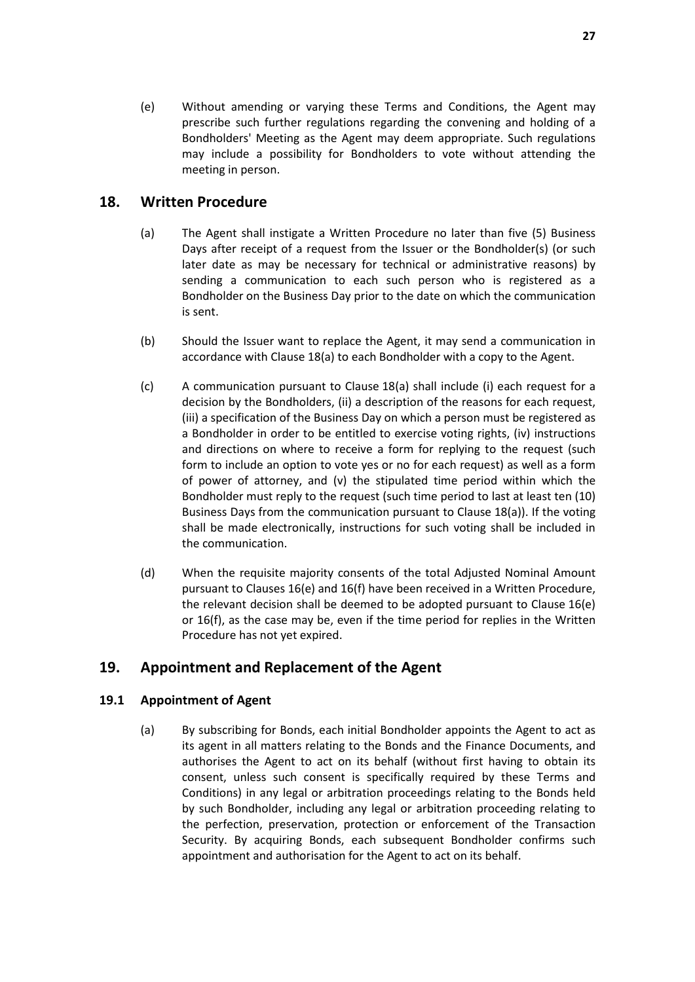(e) Without amending or varying these Terms and Conditions, the Agent may prescribe such further regulations regarding the convening and holding of a Bondholders' Meeting as the Agent may deem appropriate. Such regulations may include a possibility for Bondholders to vote without attending the meeting in person.

# **18. Written Procedure**

- (a) The Agent shall instigate a Written Procedure no later than five (5) Business Days after receipt of a request from the Issuer or the Bondholder(s) (or such later date as may be necessary for technical or administrative reasons) by sending a communication to each such person who is registered as a Bondholder on the Business Day prior to the date on which the communication is sent.
- (b) Should the Issuer want to replace the Agent, it may send a communication in accordance with Clause 18(a) to each Bondholder with a copy to the Agent.
- (c) A communication pursuant to Clause 18(a) shall include (i) each request for a decision by the Bondholders, (ii) a description of the reasons for each request, (iii) a specification of the Business Day on which a person must be registered as a Bondholder in order to be entitled to exercise voting rights, (iv) instructions and directions on where to receive a form for replying to the request (such form to include an option to vote yes or no for each request) as well as a form of power of attorney, and (v) the stipulated time period within which the Bondholder must reply to the request (such time period to last at least ten (10) Business Days from the communication pursuant to Clause 18(a)). If the voting shall be made electronically, instructions for such voting shall be included in the communication.
- (d) When the requisite majority consents of the total Adjusted Nominal Amount pursuant to Clauses 16(e) and 16(f) have been received in a Written Procedure, the relevant decision shall be deemed to be adopted pursuant to Clause 16(e) or 16(f), as the case may be, even if the time period for replies in the Written Procedure has not yet expired.

# **19. Appointment and Replacement of the Agent**

### **19.1 Appointment of Agent**

(a) By subscribing for Bonds, each initial Bondholder appoints the Agent to act as its agent in all matters relating to the Bonds and the Finance Documents, and authorises the Agent to act on its behalf (without first having to obtain its consent, unless such consent is specifically required by these Terms and Conditions) in any legal or arbitration proceedings relating to the Bonds held by such Bondholder, including any legal or arbitration proceeding relating to the perfection, preservation, protection or enforcement of the Transaction Security. By acquiring Bonds, each subsequent Bondholder confirms such appointment and authorisation for the Agent to act on its behalf.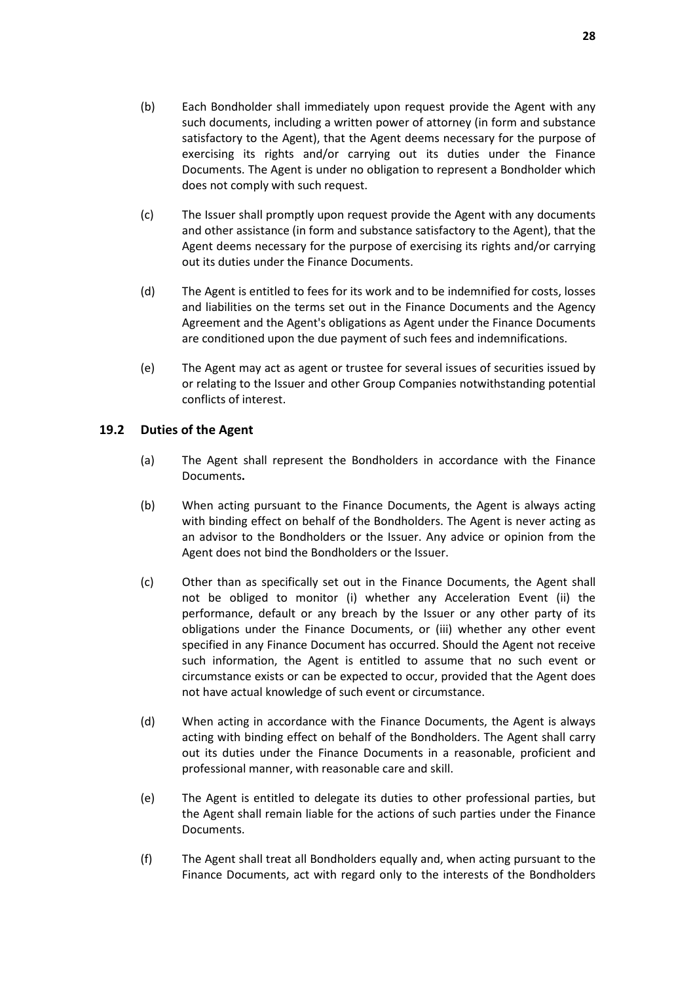- (b) Each Bondholder shall immediately upon request provide the Agent with any such documents, including a written power of attorney (in form and substance satisfactory to the Agent), that the Agent deems necessary for the purpose of exercising its rights and/or carrying out its duties under the Finance Documents. The Agent is under no obligation to represent a Bondholder which does not comply with such request.
- (c) The Issuer shall promptly upon request provide the Agent with any documents and other assistance (in form and substance satisfactory to the Agent), that the Agent deems necessary for the purpose of exercising its rights and/or carrying out its duties under the Finance Documents.
- (d) The Agent is entitled to fees for its work and to be indemnified for costs, losses and liabilities on the terms set out in the Finance Documents and the Agency Agreement and the Agent's obligations as Agent under the Finance Documents are conditioned upon the due payment of such fees and indemnifications.
- (e) The Agent may act as agent or trustee for several issues of securities issued by or relating to the Issuer and other Group Companies notwithstanding potential conflicts of interest.

### **19.2 Duties of the Agent**

- (a) The Agent shall represent the Bondholders in accordance with the Finance Documents**.**
- (b) When acting pursuant to the Finance Documents, the Agent is always acting with binding effect on behalf of the Bondholders. The Agent is never acting as an advisor to the Bondholders or the Issuer. Any advice or opinion from the Agent does not bind the Bondholders or the Issuer.
- (c) Other than as specifically set out in the Finance Documents, the Agent shall not be obliged to monitor (i) whether any Acceleration Event (ii) the performance, default or any breach by the Issuer or any other party of its obligations under the Finance Documents, or (iii) whether any other event specified in any Finance Document has occurred. Should the Agent not receive such information, the Agent is entitled to assume that no such event or circumstance exists or can be expected to occur, provided that the Agent does not have actual knowledge of such event or circumstance.
- (d) When acting in accordance with the Finance Documents, the Agent is always acting with binding effect on behalf of the Bondholders. The Agent shall carry out its duties under the Finance Documents in a reasonable, proficient and professional manner, with reasonable care and skill.
- (e) The Agent is entitled to delegate its duties to other professional parties, but the Agent shall remain liable for the actions of such parties under the Finance Documents.
- (f) The Agent shall treat all Bondholders equally and, when acting pursuant to the Finance Documents, act with regard only to the interests of the Bondholders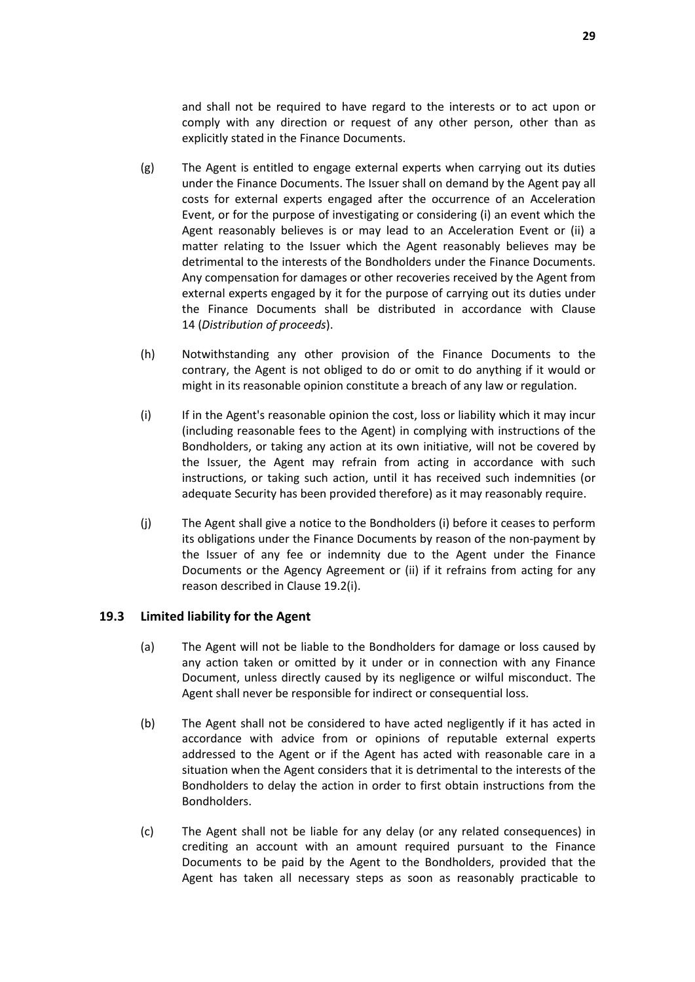and shall not be required to have regard to the interests or to act upon or comply with any direction or request of any other person, other than as explicitly stated in the Finance Documents.

- (g) The Agent is entitled to engage external experts when carrying out its duties under the Finance Documents. The Issuer shall on demand by the Agent pay all costs for external experts engaged after the occurrence of an Acceleration Event, or for the purpose of investigating or considering (i) an event which the Agent reasonably believes is or may lead to an Acceleration Event or (ii) a matter relating to the Issuer which the Agent reasonably believes may be detrimental to the interests of the Bondholders under the Finance Documents. Any compensation for damages or other recoveries received by the Agent from external experts engaged by it for the purpose of carrying out its duties under the Finance Documents shall be distributed in accordance with Clause 14 (*Distribution of proceeds*).
- (h) Notwithstanding any other provision of the Finance Documents to the contrary, the Agent is not obliged to do or omit to do anything if it would or might in its reasonable opinion constitute a breach of any law or regulation.
- (i) If in the Agent's reasonable opinion the cost, loss or liability which it may incur (including reasonable fees to the Agent) in complying with instructions of the Bondholders, or taking any action at its own initiative, will not be covered by the Issuer, the Agent may refrain from acting in accordance with such instructions, or taking such action, until it has received such indemnities (or adequate Security has been provided therefore) as it may reasonably require.
- (j) The Agent shall give a notice to the Bondholders (i) before it ceases to perform its obligations under the Finance Documents by reason of the non-payment by the Issuer of any fee or indemnity due to the Agent under the Finance Documents or the Agency Agreement or (ii) if it refrains from acting for any reason described in Clause 19.2(i).

#### **19.3 Limited liability for the Agent**

- (a) The Agent will not be liable to the Bondholders for damage or loss caused by any action taken or omitted by it under or in connection with any Finance Document, unless directly caused by its negligence or wilful misconduct. The Agent shall never be responsible for indirect or consequential loss.
- (b) The Agent shall not be considered to have acted negligently if it has acted in accordance with advice from or opinions of reputable external experts addressed to the Agent or if the Agent has acted with reasonable care in a situation when the Agent considers that it is detrimental to the interests of the Bondholders to delay the action in order to first obtain instructions from the Bondholders.
- (c) The Agent shall not be liable for any delay (or any related consequences) in crediting an account with an amount required pursuant to the Finance Documents to be paid by the Agent to the Bondholders, provided that the Agent has taken all necessary steps as soon as reasonably practicable to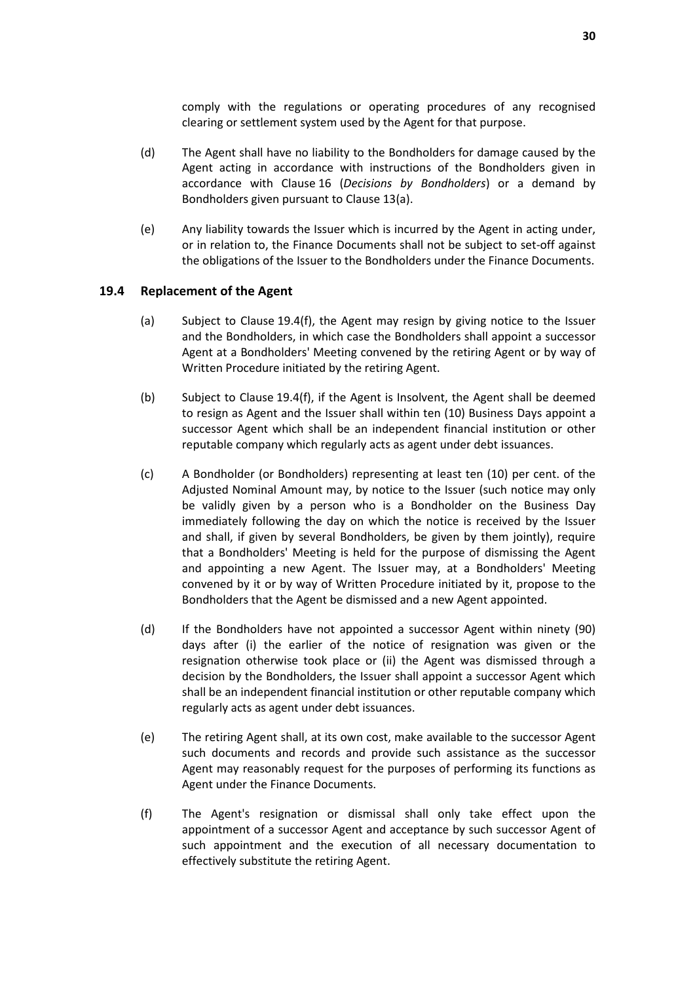comply with the regulations or operating procedures of any recognised clearing or settlement system used by the Agent for that purpose.

- (d) The Agent shall have no liability to the Bondholders for damage caused by the Agent acting in accordance with instructions of the Bondholders given in accordance with Clause 16 (*Decisions by Bondholders*) or a demand by Bondholders given pursuant to Clause 13(a).
- (e) Any liability towards the Issuer which is incurred by the Agent in acting under, or in relation to, the Finance Documents shall not be subject to set-off against the obligations of the Issuer to the Bondholders under the Finance Documents.

#### **19.4 Replacement of the Agent**

- (a) Subject to Clause 19.4(f), the Agent may resign by giving notice to the Issuer and the Bondholders, in which case the Bondholders shall appoint a successor Agent at a Bondholders' Meeting convened by the retiring Agent or by way of Written Procedure initiated by the retiring Agent.
- (b) Subject to Clause 19.4(f), if the Agent is Insolvent, the Agent shall be deemed to resign as Agent and the Issuer shall within ten (10) Business Days appoint a successor Agent which shall be an independent financial institution or other reputable company which regularly acts as agent under debt issuances.
- (c) A Bondholder (or Bondholders) representing at least ten (10) per cent. of the Adjusted Nominal Amount may, by notice to the Issuer (such notice may only be validly given by a person who is a Bondholder on the Business Day immediately following the day on which the notice is received by the Issuer and shall, if given by several Bondholders, be given by them jointly), require that a Bondholders' Meeting is held for the purpose of dismissing the Agent and appointing a new Agent. The Issuer may, at a Bondholders' Meeting convened by it or by way of Written Procedure initiated by it, propose to the Bondholders that the Agent be dismissed and a new Agent appointed.
- (d) If the Bondholders have not appointed a successor Agent within ninety (90) days after (i) the earlier of the notice of resignation was given or the resignation otherwise took place or (ii) the Agent was dismissed through a decision by the Bondholders, the Issuer shall appoint a successor Agent which shall be an independent financial institution or other reputable company which regularly acts as agent under debt issuances.
- (e) The retiring Agent shall, at its own cost, make available to the successor Agent such documents and records and provide such assistance as the successor Agent may reasonably request for the purposes of performing its functions as Agent under the Finance Documents.
- (f) The Agent's resignation or dismissal shall only take effect upon the appointment of a successor Agent and acceptance by such successor Agent of such appointment and the execution of all necessary documentation to effectively substitute the retiring Agent.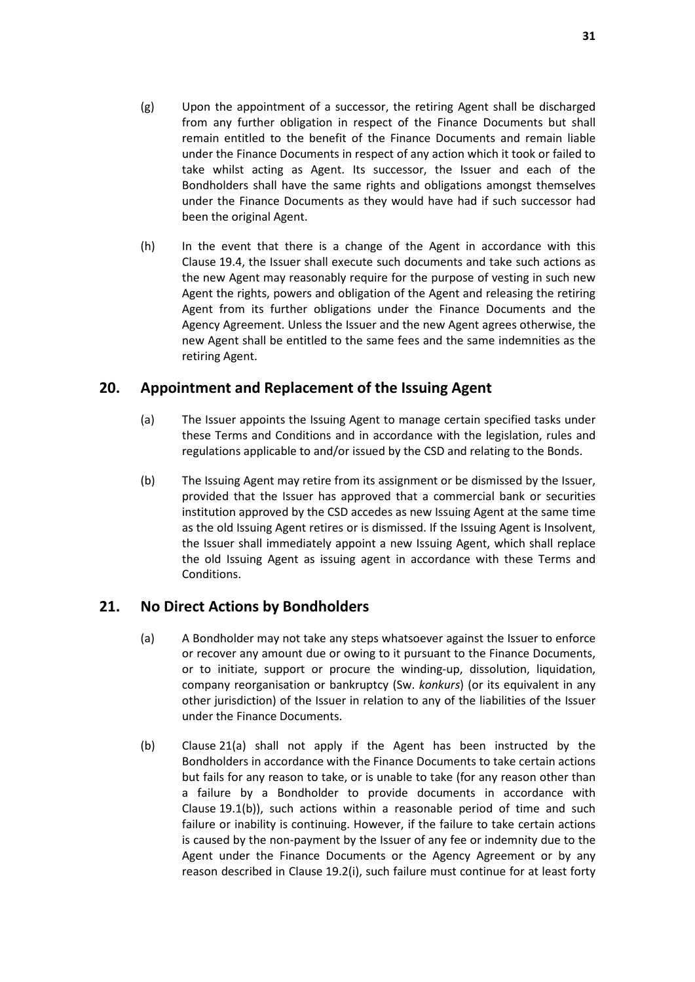- (g) Upon the appointment of a successor, the retiring Agent shall be discharged from any further obligation in respect of the Finance Documents but shall remain entitled to the benefit of the Finance Documents and remain liable under the Finance Documents in respect of any action which it took or failed to take whilst acting as Agent. Its successor, the Issuer and each of the Bondholders shall have the same rights and obligations amongst themselves under the Finance Documents as they would have had if such successor had been the original Agent.
- (h) In the event that there is a change of the Agent in accordance with this Clause 19.4, the Issuer shall execute such documents and take such actions as the new Agent may reasonably require for the purpose of vesting in such new Agent the rights, powers and obligation of the Agent and releasing the retiring Agent from its further obligations under the Finance Documents and the Agency Agreement. Unless the Issuer and the new Agent agrees otherwise, the new Agent shall be entitled to the same fees and the same indemnities as the retiring Agent.

# **20. Appointment and Replacement of the Issuing Agent**

- (a) The Issuer appoints the Issuing Agent to manage certain specified tasks under these Terms and Conditions and in accordance with the legislation, rules and regulations applicable to and/or issued by the CSD and relating to the Bonds.
- (b) The Issuing Agent may retire from its assignment or be dismissed by the Issuer, provided that the Issuer has approved that a commercial bank or securities institution approved by the CSD accedes as new Issuing Agent at the same time as the old Issuing Agent retires or is dismissed. If the Issuing Agent is Insolvent, the Issuer shall immediately appoint a new Issuing Agent, which shall replace the old Issuing Agent as issuing agent in accordance with these Terms and Conditions.

# **21. No Direct Actions by Bondholders**

- (a) A Bondholder may not take any steps whatsoever against the Issuer to enforce or recover any amount due or owing to it pursuant to the Finance Documents, or to initiate, support or procure the winding-up, dissolution, liquidation, company reorganisation or bankruptcy (Sw. *konkurs*) (or its equivalent in any other jurisdiction) of the Issuer in relation to any of the liabilities of the Issuer under the Finance Documents.
- (b) Clause 21(a) shall not apply if the Agent has been instructed by the Bondholders in accordance with the Finance Documents to take certain actions but fails for any reason to take, or is unable to take (for any reason other than a failure by a Bondholder to provide documents in accordance with Clause 19.1(b)), such actions within a reasonable period of time and such failure or inability is continuing. However, if the failure to take certain actions is caused by the non-payment by the Issuer of any fee or indemnity due to the Agent under the Finance Documents or the Agency Agreement or by any reason described in Clause 19.2(i), such failure must continue for at least forty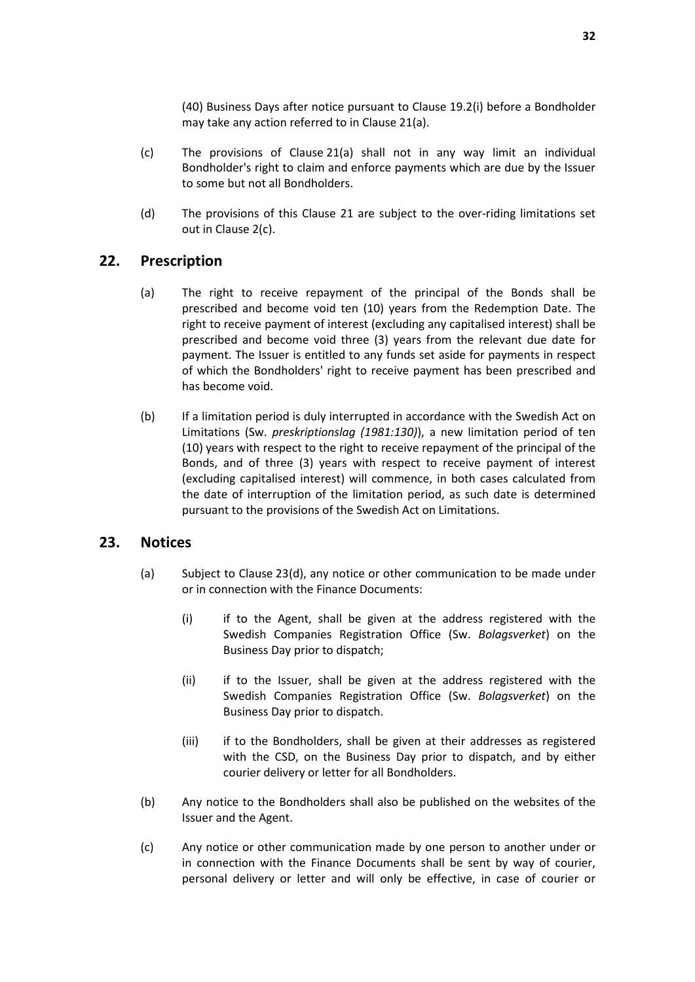(40) Business Days after notice pursuant to Clause 19.2(i) before a Bondholder may take any action referred to in Clause 21(a).

- (c) The provisions of Clause 21(a) shall not in any way limit an individual Bondholder's right to claim and enforce payments which are due by the Issuer to some but not all Bondholders.
- (d) The provisions of this Clause 21 are subject to the over-riding limitations set out in Clause 2(c).

# **22. Prescription**

- (a) The right to receive repayment of the principal of the Bonds shall be prescribed and become void ten (10) years from the Redemption Date. The right to receive payment of interest (excluding any capitalised interest) shall be prescribed and become void three (3) years from the relevant due date for payment. The Issuer is entitled to any funds set aside for payments in respect of which the Bondholders' right to receive payment has been prescribed and has become void.
- (b) If a limitation period is duly interrupted in accordance with the Swedish Act on Limitations (Sw. *preskriptionslag (1981:130)*), a new limitation period of ten (10) years with respect to the right to receive repayment of the principal of the Bonds, and of three (3) years with respect to receive payment of interest (excluding capitalised interest) will commence, in both cases calculated from the date of interruption of the limitation period, as such date is determined pursuant to the provisions of the Swedish Act on Limitations.

# **23. Notices**

- (a) Subject to Clause 23(d), any notice or other communication to be made under or in connection with the Finance Documents:
	- (i) if to the Agent, shall be given at the address registered with the Swedish Companies Registration Office (Sw. *Bolagsverket*) on the Business Day prior to dispatch;
	- (ii) if to the Issuer, shall be given at the address registered with the Swedish Companies Registration Office (Sw. *Bolagsverket*) on the Business Day prior to dispatch.
	- (iii) if to the Bondholders, shall be given at their addresses as registered with the CSD, on the Business Day prior to dispatch, and by either courier delivery or letter for all Bondholders.
- (b) Any notice to the Bondholders shall also be published on the websites of the Issuer and the Agent.
- (c) Any notice or other communication made by one person to another under or in connection with the Finance Documents shall be sent by way of courier, personal delivery or letter and will only be effective, in case of courier or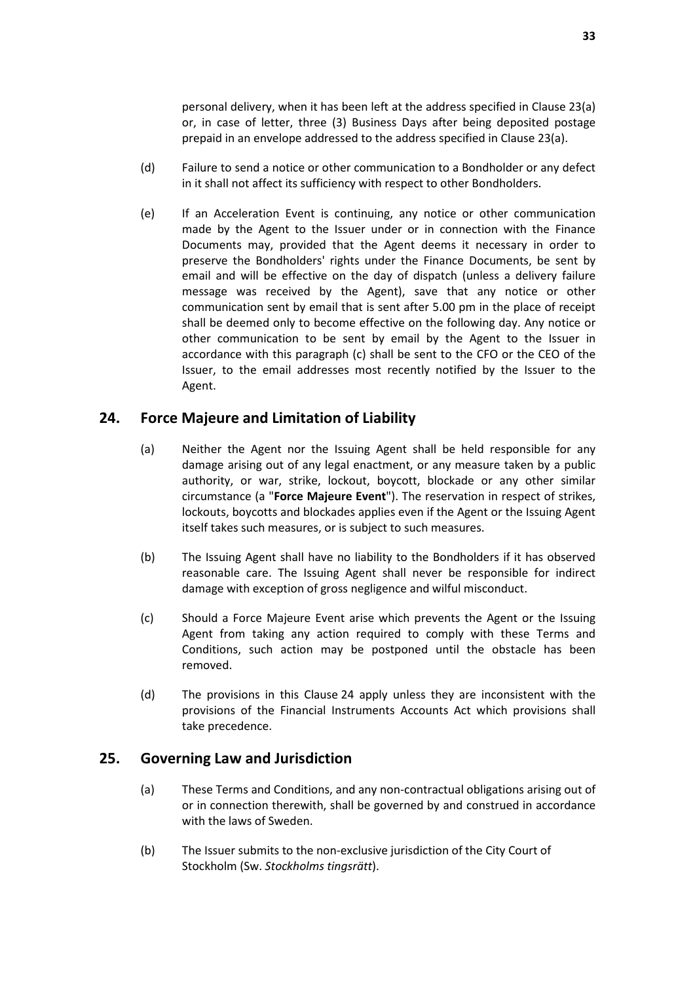personal delivery, when it has been left at the address specified in Clause 23(a) or, in case of letter, three (3) Business Days after being deposited postage prepaid in an envelope addressed to the address specified in Clause 23(a).

- (d) Failure to send a notice or other communication to a Bondholder or any defect in it shall not affect its sufficiency with respect to other Bondholders.
- (e) If an Acceleration Event is continuing, any notice or other communication made by the Agent to the Issuer under or in connection with the Finance Documents may, provided that the Agent deems it necessary in order to preserve the Bondholders' rights under the Finance Documents, be sent by email and will be effective on the day of dispatch (unless a delivery failure message was received by the Agent), save that any notice or other communication sent by email that is sent after 5.00 pm in the place of receipt shall be deemed only to become effective on the following day. Any notice or other communication to be sent by email by the Agent to the Issuer in accordance with this paragraph (c) shall be sent to the CFO or the CEO of the Issuer, to the email addresses most recently notified by the Issuer to the Agent.

# **24. Force Majeure and Limitation of Liability**

- (a) Neither the Agent nor the Issuing Agent shall be held responsible for any damage arising out of any legal enactment, or any measure taken by a public authority, or war, strike, lockout, boycott, blockade or any other similar circumstance (a "**Force Majeure Event**"). The reservation in respect of strikes, lockouts, boycotts and blockades applies even if the Agent or the Issuing Agent itself takes such measures, or is subject to such measures.
- (b) The Issuing Agent shall have no liability to the Bondholders if it has observed reasonable care. The Issuing Agent shall never be responsible for indirect damage with exception of gross negligence and wilful misconduct.
- (c) Should a Force Majeure Event arise which prevents the Agent or the Issuing Agent from taking any action required to comply with these Terms and Conditions, such action may be postponed until the obstacle has been removed.
- (d) The provisions in this Clause 24 apply unless they are inconsistent with the provisions of the Financial Instruments Accounts Act which provisions shall take precedence.

### **25. Governing Law and Jurisdiction**

- (a) These Terms and Conditions, and any non-contractual obligations arising out of or in connection therewith, shall be governed by and construed in accordance with the laws of Sweden.
- (b) The Issuer submits to the non-exclusive jurisdiction of the City Court of Stockholm (Sw. *Stockholms tingsrätt*).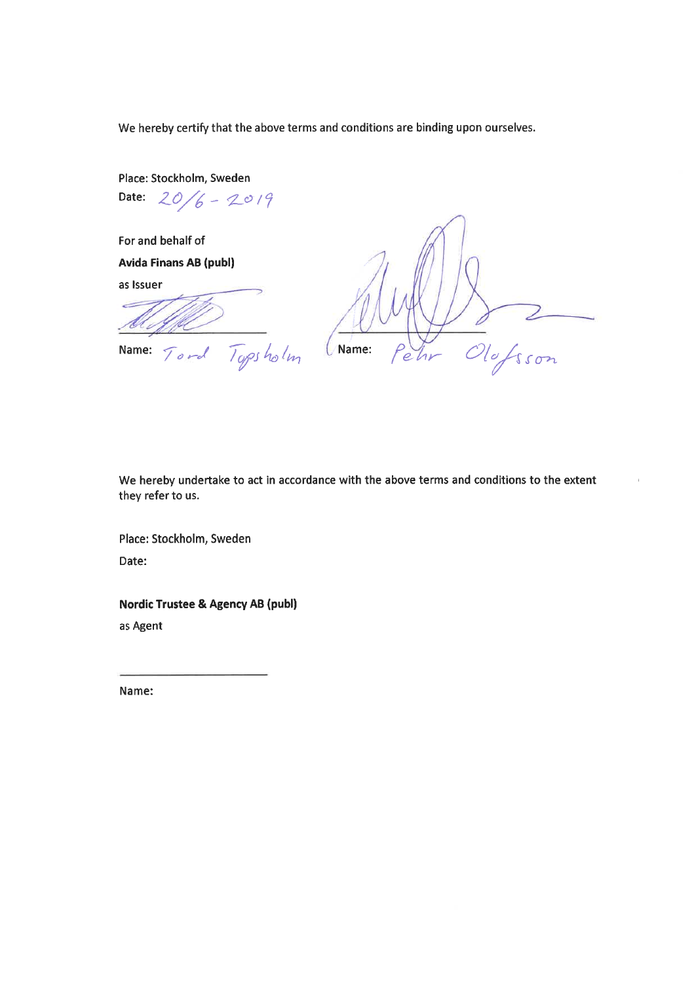We hereby certify that the above terms and conditions are binding upon ourselves.

Place: Stockholm, Sweden Date:  $20/6 - 20/9$ 

For and behalf of **Avida Finans AB (publ)** 

as Issuer

D Dofsson Name: Zr  $\overline{e}$ 

Topsholm Name: Tord

We hereby undertake to act in accordance with the above terms and conditions to the extent they refer to us.

Place: Stockholm, Sweden Date:

**Nordic Trustee & Agency AB (publ)** as Agent

Name: